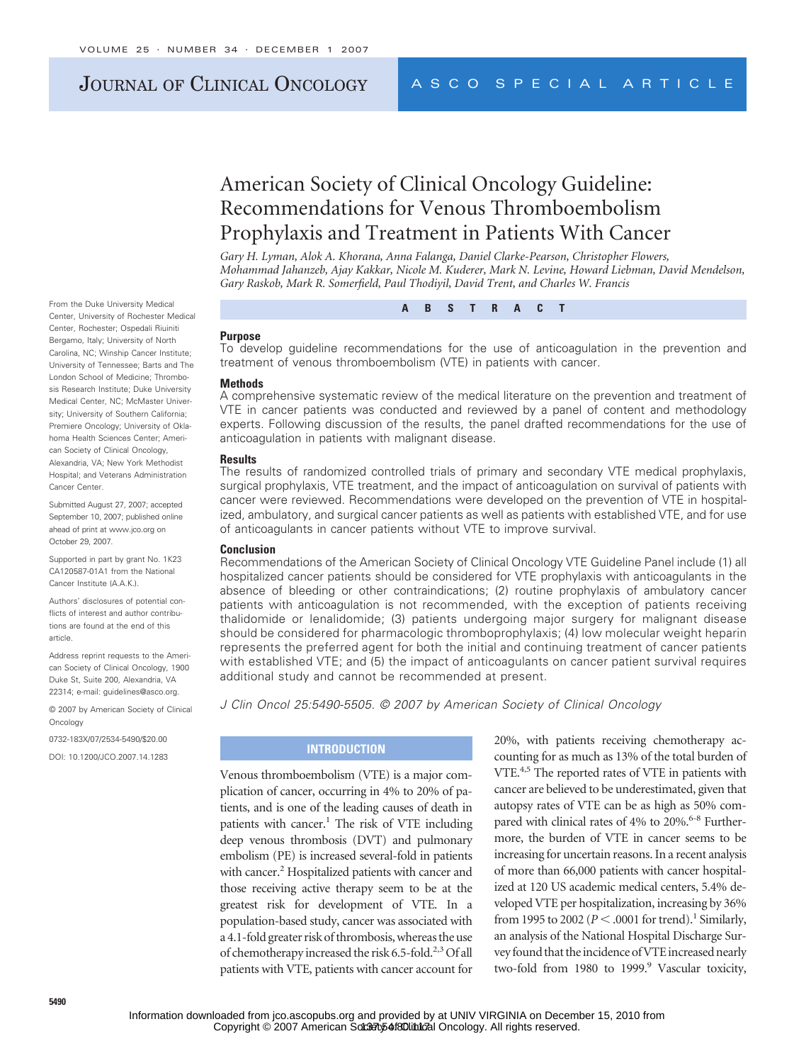# JOURNAL OF CLINICAL ONCOLOGY ASCO SPECIAL ARTICLE

# American Society of Clinical Oncology Guideline: Recommendations for Venous Thromboembolism Prophylaxis and Treatment in Patients With Cancer

*Gary H. Lyman, Alok A. Khorana, Anna Falanga, Daniel Clarke-Pearson, Christopher Flowers, Gary Raskob, Mark R. Somerfield, Paul Thodiyil, David Trent, and Charles W. Francis*

From the Duke University Medical Center, University of Rochester Medical Center, Rochester; Ospedali Riuiniti Bergamo, Italy; University of North Carolina, NC; Winship Cancer Institute; University of Tennessee; Barts and The London School of Medicine; Thrombosis Research Institute; Duke University Medical Center, NC; McMaster University; University of Southern California; Premiere Oncology; University of Oklahoma Health Sciences Center; American Society of Clinical Oncology, Alexandria, VA; New York Methodist Hospital; and Veterans Administration Cancer Center.

Submitted August 27, 2007; accepted September 10, 2007; published online ahead of print at www.jco.org on October 29, 2007.

Supported in part by grant No. 1K23 CA120587-01A1 from the National Cancer Institute (A.A.K.).

Authors' disclosures of potential conflicts of interest and author contributions are found at the end of this article.

Address reprint requests to the American Society of Clinical Oncology, 1900 Duke St, Suite 200, Alexandria, VA 22314; e-mail: guidelines@asco.org.

© 2007 by American Society of Clinical Oncology

0732-183X/07/2534-5490/\$20.00

DOI: 10.1200/JCO.2007.14.1283

*Mohammad Jahanzeb, Ajay Kakkar, Nicole M. Kuderer, Mark N. Levine, Howard Liebman, David Mendelson,*

**ABSTRACT**

#### **Purpose**

To develop guideline recommendations for the use of anticoagulation in the prevention and treatment of venous thromboembolism (VTE) in patients with cancer.

#### **Methods**

A comprehensive systematic review of the medical literature on the prevention and treatment of VTE in cancer patients was conducted and reviewed by a panel of content and methodology experts. Following discussion of the results, the panel drafted recommendations for the use of anticoagulation in patients with malignant disease.

#### **Results**

The results of randomized controlled trials of primary and secondary VTE medical prophylaxis, surgical prophylaxis, VTE treatment, and the impact of anticoagulation on survival of patients with cancer were reviewed. Recommendations were developed on the prevention of VTE in hospitalized, ambulatory, and surgical cancer patients as well as patients with established VTE, and for use of anticoagulants in cancer patients without VTE to improve survival.

#### **Conclusion**

Recommendations of the American Society of Clinical Oncology VTE Guideline Panel include (1) all hospitalized cancer patients should be considered for VTE prophylaxis with anticoagulants in the absence of bleeding or other contraindications; (2) routine prophylaxis of ambulatory cancer patients with anticoagulation is not recommended, with the exception of patients receiving thalidomide or lenalidomide; (3) patients undergoing major surgery for malignant disease should be considered for pharmacologic thromboprophylaxis; (4) low molecular weight heparin represents the preferred agent for both the initial and continuing treatment of cancer patients with established VTE; and (5) the impact of anticoagulants on cancer patient survival requires additional study and cannot be recommended at present.

*J Clin Oncol 25:5490-5505. © 2007 by American Society of Clinical Oncology*

#### **INTRODUCTION**

Venous thromboembolism (VTE) is a major complication of cancer, occurring in 4% to 20% of patients, and is one of the leading causes of death in patients with cancer.<sup>1</sup> The risk of VTE including deep venous thrombosis (DVT) and pulmonary embolism (PE) is increased several-fold in patients with cancer.<sup>2</sup> Hospitalized patients with cancer and those receiving active therapy seem to be at the greatest risk for development of VTE. In a population-based study, cancer was associated with a 4.1-fold greater risk of thrombosis, whereas the use of chemotherapy increased the risk 6.5-fold.<sup>2,3</sup> Of all patients with VTE, patients with cancer account for 20%, with patients receiving chemotherapy accounting for as much as 13% of the total burden of VTE.<sup>4,5</sup> The reported rates of VTE in patients with cancer are believed to be underestimated, given that autopsy rates of VTE can be as high as 50% compared with clinical rates of  $4\%$  to  $20\%$ .<sup>6-8</sup> Furthermore, the burden of VTE in cancer seems to be increasing for uncertain reasons. In a recent analysis of more than 66,000 patients with cancer hospitalized at 120 US academic medical centers, 5.4% developed VTE per hospitalization, increasing by 36% from 1995 to 2002 ( $P < .0001$  for trend).<sup>1</sup> Similarly, an analysis of the National Hospital Discharge Survey found that the incidence of VTE increased nearly two-fold from 1980 to 1999. $9$  Vascular toxicity,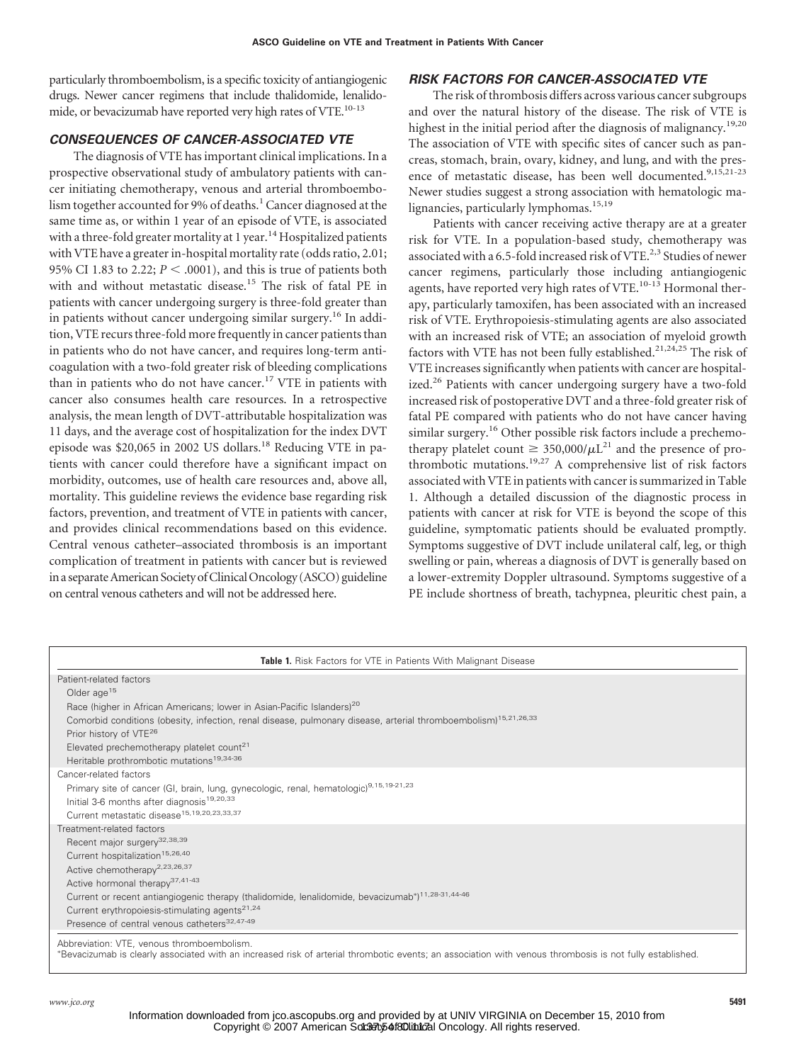particularly thromboembolism, is a specific toxicity of antiangiogenic drugs. Newer cancer regimens that include thalidomide, lenalidomide, or bevacizumab have reported very high rates of VTE.<sup>10-13</sup>

# *CONSEQUENCES OF CANCER-ASSOCIATED VTE*

The diagnosis of VTE has important clinical implications. In a prospective observational study of ambulatory patients with cancer initiating chemotherapy, venous and arterial thromboembolism together accounted for 9% of deaths.<sup>1</sup> Cancer diagnosed at the same time as, or within 1 year of an episode of VTE, is associated with a three-fold greater mortality at 1 year.<sup>14</sup> Hospitalized patients with VTE have a greater in-hospital mortality rate (odds ratio, 2.01; 95% CI 1.83 to 2.22;  $P < .0001$ ), and this is true of patients both with and without metastatic disease.<sup>15</sup> The risk of fatal PE in patients with cancer undergoing surgery is three-fold greater than in patients without cancer undergoing similar surgery.<sup>16</sup> In addition, VTE recurs three-fold more frequently in cancer patients than in patients who do not have cancer, and requires long-term anticoagulation with a two-fold greater risk of bleeding complications than in patients who do not have cancer.<sup>17</sup> VTE in patients with cancer also consumes health care resources. In a retrospective analysis, the mean length of DVT-attributable hospitalization was 11 days, and the average cost of hospitalization for the index DVT episode was \$20,065 in 2002 US dollars.<sup>18</sup> Reducing VTE in patients with cancer could therefore have a significant impact on morbidity, outcomes, use of health care resources and, above all, mortality. This guideline reviews the evidence base regarding risk factors, prevention, and treatment of VTE in patients with cancer, and provides clinical recommendations based on this evidence. Central venous catheter–associated thrombosis is an important complication of treatment in patients with cancer but is reviewed in a separate American Society of Clinical Oncology (ASCO) guideline on central venous catheters and will not be addressed here.

#### *RISK FACTORS FOR CANCER-ASSOCIATED VTE*

The risk of thrombosis differs across various cancer subgroups and over the natural history of the disease. The risk of VTE is highest in the initial period after the diagnosis of malignancy.<sup>19,20</sup> The association of VTE with specific sites of cancer such as pancreas, stomach, brain, ovary, kidney, and lung, and with the presence of metastatic disease, has been well documented.<sup>9,15,21-23</sup> Newer studies suggest a strong association with hematologic malignancies, particularly lymphomas.<sup>15,19</sup>

Patients with cancer receiving active therapy are at a greater risk for VTE. In a population-based study, chemotherapy was associated with a 6.5-fold increased risk of VTE.<sup>2,3</sup> Studies of newer cancer regimens, particularly those including antiangiogenic agents, have reported very high rates of VTE.<sup>10-13</sup> Hormonal therapy, particularly tamoxifen, has been associated with an increased risk of VTE. Erythropoiesis-stimulating agents are also associated with an increased risk of VTE; an association of myeloid growth factors with VTE has not been fully established.<sup>21,24,25</sup> The risk of VTE increases significantly when patients with cancer are hospitalized.<sup>26</sup> Patients with cancer undergoing surgery have a two-fold increased risk of postoperative DVT and a three-fold greater risk of fatal PE compared with patients who do not have cancer having similar surgery.<sup>16</sup> Other possible risk factors include a prechemotherapy platelet count  $\geq 350,000/\mu L^{21}$  and the presence of prothrombotic mutations.19,27 A comprehensive list of risk factors associated with VTE in patients with cancer is summarized in Table 1. Although a detailed discussion of the diagnostic process in patients with cancer at risk for VTE is beyond the scope of this guideline, symptomatic patients should be evaluated promptly. Symptoms suggestive of DVT include unilateral calf, leg, or thigh swelling or pain, whereas a diagnosis of DVT is generally based on a lower-extremity Doppler ultrasound. Symptoms suggestive of a PE include shortness of breath, tachypnea, pleuritic chest pain, a

| <b>Table 1.</b> Risk Factors for VTE in Patients With Malignant Disease                                                                                                                                |  |  |  |  |  |
|--------------------------------------------------------------------------------------------------------------------------------------------------------------------------------------------------------|--|--|--|--|--|
| Patient-related factors                                                                                                                                                                                |  |  |  |  |  |
| Older age <sup>15</sup>                                                                                                                                                                                |  |  |  |  |  |
| Race (higher in African Americans; lower in Asian-Pacific Islanders) <sup>20</sup>                                                                                                                     |  |  |  |  |  |
| Comorbid conditions (obesity, infection, renal disease, pulmonary disease, arterial thromboembolism) <sup>15,21,26,33</sup>                                                                            |  |  |  |  |  |
| Prior history of VTE <sup>26</sup>                                                                                                                                                                     |  |  |  |  |  |
| Elevated prechemotherapy platelet count <sup>21</sup><br>Heritable prothrombotic mutations <sup>19,34-36</sup>                                                                                         |  |  |  |  |  |
| Cancer-related factors                                                                                                                                                                                 |  |  |  |  |  |
| Primary site of cancer (GI, brain, lung, gynecologic, renal, hematologic) <sup>9,15,19-21,23</sup>                                                                                                     |  |  |  |  |  |
| Initial 3-6 months after diagnosis <sup>19,20,33</sup>                                                                                                                                                 |  |  |  |  |  |
| Current metastatic disease <sup>15,19,20,23,33,37</sup>                                                                                                                                                |  |  |  |  |  |
| Treatment-related factors                                                                                                                                                                              |  |  |  |  |  |
| Recent major surgery <sup>32,38,39</sup>                                                                                                                                                               |  |  |  |  |  |
| Current hospitalization <sup>15,26,40</sup>                                                                                                                                                            |  |  |  |  |  |
| Active chemotherapy <sup>2,23,26,37</sup>                                                                                                                                                              |  |  |  |  |  |
| Active hormonal therapy <sup>37,41-43</sup>                                                                                                                                                            |  |  |  |  |  |
| Current or recent antiangiogenic therapy (thalidomide, lenalidomide, bevacizumab*) <sup>11,28-31,44-46</sup>                                                                                           |  |  |  |  |  |
| Current erythropoiesis-stimulating agents <sup>21,24</sup>                                                                                                                                             |  |  |  |  |  |
| Presence of central venous catheters <sup>32,47-49</sup>                                                                                                                                               |  |  |  |  |  |
| Abbreviation: VTE, venous thromboembolism.<br>"Bevacizumab is clearly associated with an increased risk of arterial thrombotic events; an association with venous thrombosis is not fully established. |  |  |  |  |  |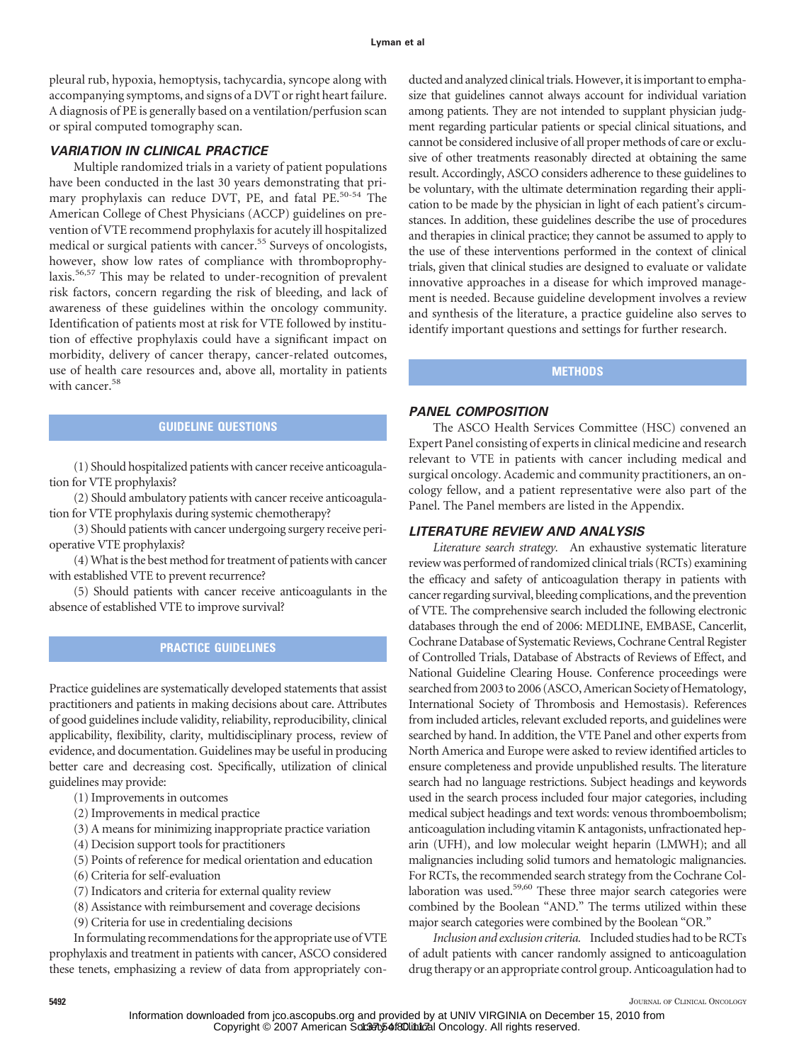#### **Lyman et al**

pleural rub, hypoxia, hemoptysis, tachycardia, syncope along with accompanying symptoms, and signs of a DVT or right heart failure. A diagnosis of PE is generally based on a ventilation/perfusion scan or spiral computed tomography scan.

#### *VARIATION IN CLINICAL PRACTICE*

Multiple randomized trials in a variety of patient populations have been conducted in the last 30 years demonstrating that primary prophylaxis can reduce DVT, PE, and fatal PE.<sup>50-54</sup> The American College of Chest Physicians (ACCP) guidelines on prevention of VTE recommend prophylaxis for acutely ill hospitalized medical or surgical patients with cancer.<sup>55</sup> Surveys of oncologists, however, show low rates of compliance with thromboprophylaxis.56,57 This may be related to under-recognition of prevalent risk factors, concern regarding the risk of bleeding, and lack of awareness of these guidelines within the oncology community. Identification of patients most at risk for VTE followed by institution of effective prophylaxis could have a significant impact on morbidity, delivery of cancer therapy, cancer-related outcomes, use of health care resources and, above all, mortality in patients with cancer.<sup>58</sup>

#### **GUIDELINE QUESTIONS**

(1) Should hospitalized patients with cancer receive anticoagulation for VTE prophylaxis?

(2) Should ambulatory patients with cancer receive anticoagulation for VTE prophylaxis during systemic chemotherapy?

(3) Should patients with cancer undergoing surgery receive perioperative VTE prophylaxis?

(4) What is the best method for treatment of patients with cancer with established VTE to prevent recurrence?

(5) Should patients with cancer receive anticoagulants in the absence of established VTE to improve survival?

# **PRACTICE GUIDELINES**

Practice guidelines are systematically developed statements that assist practitioners and patients in making decisions about care. Attributes of good guidelines include validity, reliability, reproducibility, clinical applicability, flexibility, clarity, multidisciplinary process, review of evidence, and documentation. Guidelines may be useful in producing better care and decreasing cost. Specifically, utilization of clinical guidelines may provide:

- (1) Improvements in outcomes
- (2) Improvements in medical practice
- (3) A means for minimizing inappropriate practice variation
- (4) Decision support tools for practitioners
- (5) Points of reference for medical orientation and education
- (6) Criteria for self-evaluation
- (7) Indicators and criteria for external quality review
- (8) Assistance with reimbursement and coverage decisions
- (9) Criteria for use in credentialing decisions

In formulating recommendations for the appropriate use of VTE prophylaxis and treatment in patients with cancer, ASCO considered these tenets, emphasizing a review of data from appropriately conducted and analyzed clinical trials. However, it is important to emphasize that guidelines cannot always account for individual variation among patients. They are not intended to supplant physician judgment regarding particular patients or special clinical situations, and cannot be considered inclusive of all proper methods of care or exclusive of other treatments reasonably directed at obtaining the same result. Accordingly, ASCO considers adherence to these guidelines to be voluntary, with the ultimate determination regarding their application to be made by the physician in light of each patient's circumstances. In addition, these guidelines describe the use of procedures and therapies in clinical practice; they cannot be assumed to apply to the use of these interventions performed in the context of clinical trials, given that clinical studies are designed to evaluate or validate innovative approaches in a disease for which improved management is needed. Because guideline development involves a review and synthesis of the literature, a practice guideline also serves to identify important questions and settings for further research.

# **METHODS**

#### *PANEL COMPOSITION*

The ASCO Health Services Committee (HSC) convened an Expert Panel consisting of experts in clinical medicine and research relevant to VTE in patients with cancer including medical and surgical oncology. Academic and community practitioners, an oncology fellow, and a patient representative were also part of the Panel. The Panel members are listed in the Appendix.

#### *LITERATURE REVIEW AND ANALYSIS*

*Literature search strategy.* An exhaustive systematic literature review was performed of randomized clinical trials (RCTs) examining the efficacy and safety of anticoagulation therapy in patients with cancer regarding survival, bleeding complications, and the prevention of VTE. The comprehensive search included the following electronic databases through the end of 2006: MEDLINE, EMBASE, Cancerlit, Cochrane Database of Systematic Reviews, Cochrane Central Register of Controlled Trials, Database of Abstracts of Reviews of Effect, and National Guideline Clearing House. Conference proceedings were searched from 2003 to 2006 (ASCO, American Society of Hematology, International Society of Thrombosis and Hemostasis). References from included articles, relevant excluded reports, and guidelines were searched by hand. In addition, the VTE Panel and other experts from North America and Europe were asked to review identified articles to ensure completeness and provide unpublished results. The literature search had no language restrictions. Subject headings and keywords used in the search process included four major categories, including medical subject headings and text words: venous thromboembolism; anticoagulation including vitamin K antagonists, unfractionated heparin (UFH), and low molecular weight heparin (LMWH); and all malignancies including solid tumors and hematologic malignancies. For RCTs, the recommended search strategy from the Cochrane Collaboration was used.<sup>59,60</sup> These three major search categories were combined by the Boolean "AND." The terms utilized within these major search categories were combined by the Boolean "OR."

*Inclusion and exclusion criteria.* Included studies had to be RCTs of adult patients with cancer randomly assigned to anticoagulation drug therapy or an appropriate control group. Anticoagulation had to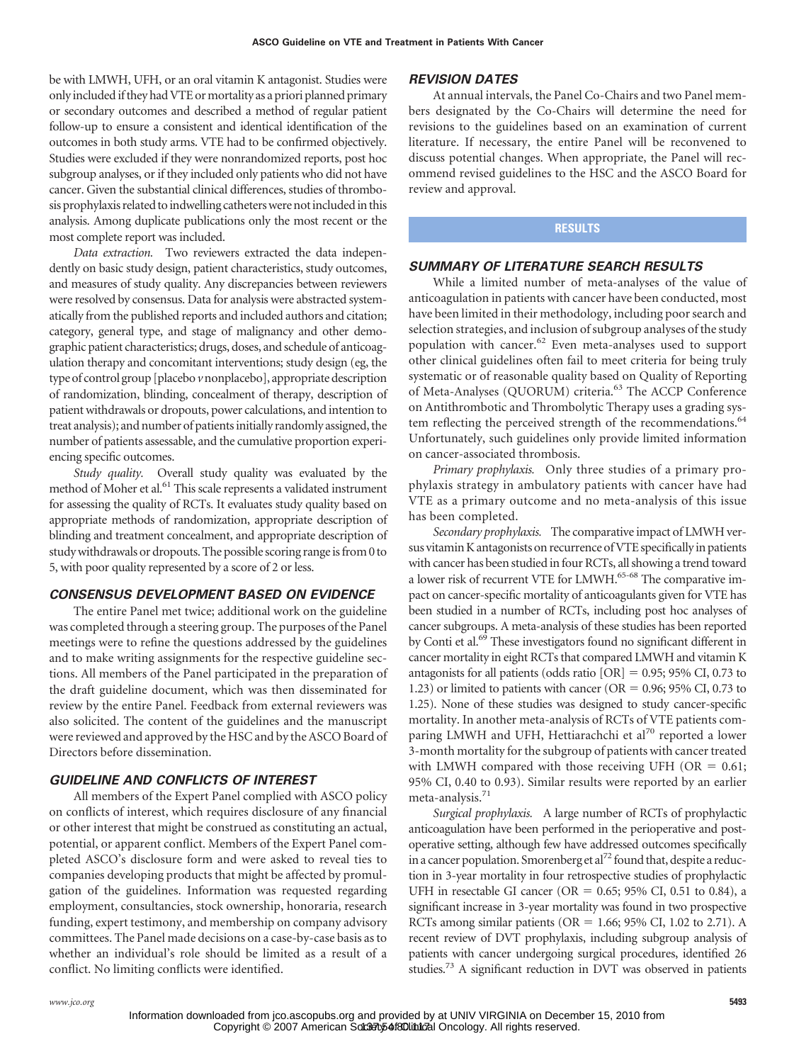be with LMWH, UFH, or an oral vitamin K antagonist. Studies were only included if they had VTE or mortality as a priori planned primary or secondary outcomes and described a method of regular patient follow-up to ensure a consistent and identical identification of the outcomes in both study arms. VTE had to be confirmed objectively. Studies were excluded if they were nonrandomized reports, post hoc subgroup analyses, or if they included only patients who did not have cancer. Given the substantial clinical differences, studies of thrombosis prophylaxis related to indwelling catheters were not included in this analysis. Among duplicate publications only the most recent or the most complete report was included.

*Data extraction.* Two reviewers extracted the data independently on basic study design, patient characteristics, study outcomes, and measures of study quality. Any discrepancies between reviewers were resolved by consensus. Data for analysis were abstracted systematically from the published reports and included authors and citation; category, general type, and stage of malignancy and other demographic patient characteristics; drugs, doses, and schedule of anticoagulation therapy and concomitant interventions; study design (eg, the type of control group [placebo*v*nonplacebo], appropriate description of randomization, blinding, concealment of therapy, description of patient withdrawals or dropouts, power calculations, and intention to treat analysis); and number of patientsinitially randomly assigned, the number of patients assessable, and the cumulative proportion experiencing specific outcomes.

*Study quality.* Overall study quality was evaluated by the method of Moher et al.<sup>61</sup> This scale represents a validated instrument for assessing the quality of RCTs. It evaluates study quality based on appropriate methods of randomization, appropriate description of blinding and treatment concealment, and appropriate description of study withdrawals or dropouts. The possible scoring range isfrom 0 to 5, with poor quality represented by a score of 2 or less.

### *CONSENSUS DEVELOPMENT BASED ON EVIDENCE*

The entire Panel met twice; additional work on the guideline was completed through a steering group. The purposes of the Panel meetings were to refine the questions addressed by the guidelines and to make writing assignments for the respective guideline sections. All members of the Panel participated in the preparation of the draft guideline document, which was then disseminated for review by the entire Panel. Feedback from external reviewers was also solicited. The content of the guidelines and the manuscript were reviewed and approved by the HSC and by the ASCO Board of Directors before dissemination.

#### *GUIDELINE AND CONFLICTS OF INTEREST*

All members of the Expert Panel complied with ASCO policy on conflicts of interest, which requires disclosure of any financial or other interest that might be construed as constituting an actual, potential, or apparent conflict. Members of the Expert Panel completed ASCO's disclosure form and were asked to reveal ties to companies developing products that might be affected by promulgation of the guidelines. Information was requested regarding employment, consultancies, stock ownership, honoraria, research funding, expert testimony, and membership on company advisory committees. The Panel made decisions on a case-by-case basis as to whether an individual's role should be limited as a result of a conflict. No limiting conflicts were identified.

#### *REVISION DATES*

At annual intervals, the Panel Co-Chairs and two Panel members designated by the Co-Chairs will determine the need for revisions to the guidelines based on an examination of current literature. If necessary, the entire Panel will be reconvened to discuss potential changes. When appropriate, the Panel will recommend revised guidelines to the HSC and the ASCO Board for review and approval.

# **RESULTS**

#### *SUMMARY OF LITERATURE SEARCH RESULTS*

While a limited number of meta-analyses of the value of anticoagulation in patients with cancer have been conducted, most have been limited in their methodology, including poor search and selection strategies, and inclusion of subgroup analyses of the study population with cancer.<sup>62</sup> Even meta-analyses used to support other clinical guidelines often fail to meet criteria for being truly systematic or of reasonable quality based on Quality of Reporting of Meta-Analyses (QUORUM) criteria.<sup>63</sup> The ACCP Conference on Antithrombotic and Thrombolytic Therapy uses a grading system reflecting the perceived strength of the recommendations.<sup>64</sup> Unfortunately, such guidelines only provide limited information on cancer-associated thrombosis.

*Primary prophylaxis.* Only three studies of a primary prophylaxis strategy in ambulatory patients with cancer have had VTE as a primary outcome and no meta-analysis of this issue has been completed.

*Secondary prophylaxis.* The comparative impact of LMWH versus vitamin K antagonists on recurrence of VTE specifically in patients with cancer has been studied in four RCTs, all showing a trend toward a lower risk of recurrent VTE for LMWH.<sup>65-68</sup> The comparative impact on cancer-specific mortality of anticoagulants given for VTE has been studied in a number of RCTs, including post hoc analyses of cancer subgroups. A meta-analysis of these studies has been reported by Conti et al.<sup>69</sup> These investigators found no significant different in cancer mortality in eight RCTs that compared LMWH and vitamin K antagonists for all patients (odds ratio  $[OR] = 0.95; 95\% \text{ CI}, 0.73 \text{ to}$ 1.23) or limited to patients with cancer ( $OR = 0.96$ ; 95% CI, 0.73 to 1.25). None of these studies was designed to study cancer-specific mortality. In another meta-analysis of RCTs of VTE patients comparing LMWH and UFH, Hettiarachchi et al<sup>70</sup> reported a lower 3-month mortality for the subgroup of patients with cancer treated with LMWH compared with those receiving UFH ( $OR = 0.61$ ; 95% CI, 0.40 to 0.93). Similar results were reported by an earlier meta-analysis.<sup>71</sup>

*Surgical prophylaxis.* A large number of RCTs of prophylactic anticoagulation have been performed in the perioperative and postoperative setting, although few have addressed outcomes specifically in a cancer population. Smorenberg et al<sup>72</sup> found that, despite a reduction in 3-year mortality in four retrospective studies of prophylactic UFH in resectable GI cancer (OR =  $0.65$ ; 95% CI, 0.51 to 0.84), a significant increase in 3-year mortality was found in two prospective RCTs among similar patients ( $OR = 1.66$ ; 95% CI, 1.02 to 2.71). A recent review of DVT prophylaxis, including subgroup analysis of patients with cancer undergoing surgical procedures, identified 26 studies.73 A significant reduction in DVT was observed in patients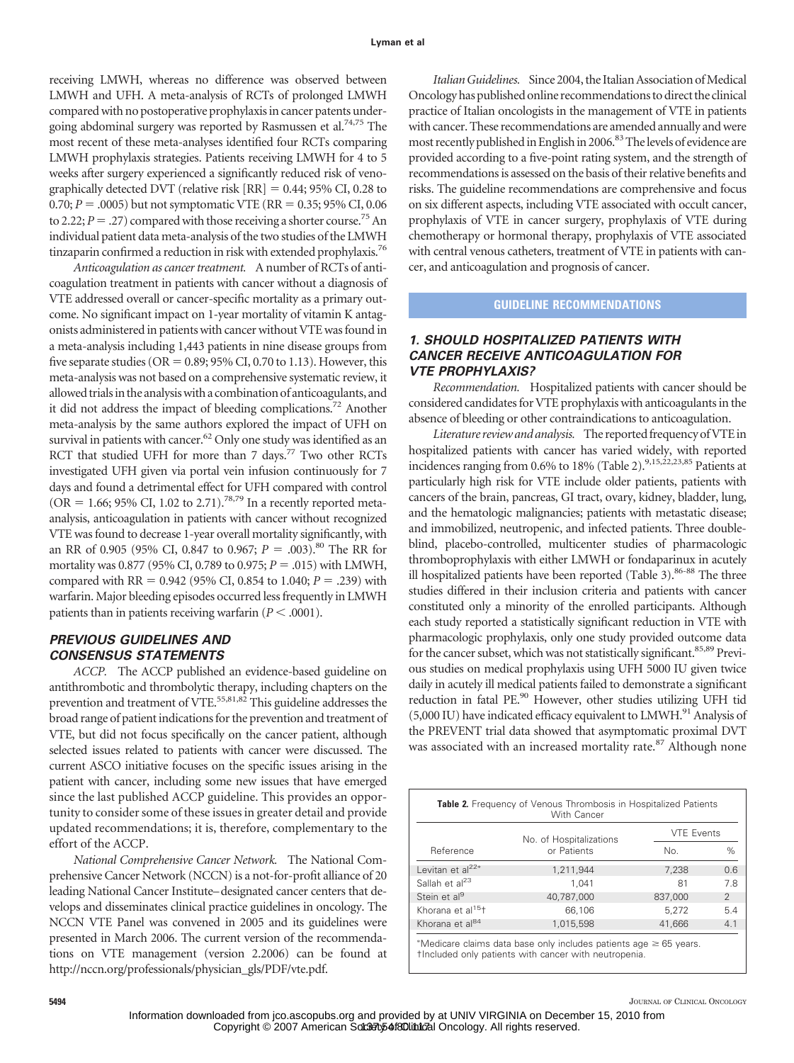receiving LMWH, whereas no difference was observed between LMWH and UFH. A meta-analysis of RCTs of prolonged LMWH compared with no postoperative prophylaxis in cancer patents undergoing abdominal surgery was reported by Rasmussen et al.<sup>74,75</sup> The most recent of these meta-analyses identified four RCTs comparing LMWH prophylaxis strategies. Patients receiving LMWH for 4 to 5 weeks after surgery experienced a significantly reduced risk of venographically detected DVT (relative risk  $[RR] = 0.44; 95\%$  CI, 0.28 to 0.70;  $P = 0.0005$ ) but not symptomatic VTE (RR = 0.35; 95% CI, 0.06 to 2.22;  $P = 0.27$ ) compared with those receiving a shorter course.<sup>75</sup> An individual patient data meta-analysis of the two studies of the LMWH tinzaparin confirmed a reduction in risk with extended prophylaxis.<sup>76</sup>

*Anticoagulation as cancer treatment.* A number of RCTs of anticoagulation treatment in patients with cancer without a diagnosis of VTE addressed overall or cancer-specific mortality as a primary outcome. No significant impact on 1-year mortality of vitamin K antagonists administered in patients with cancer without VTE wasfound in a meta-analysis including 1,443 patients in nine disease groups from five separate studies ( $OR = 0.89$ ;  $95\%$  CI, 0.70 to 1.13). However, this meta-analysis was not based on a comprehensive systematic review, it allowed trialsin the analysiswith a combination of anticoagulants, and it did not address the impact of bleeding complications.72 Another meta-analysis by the same authors explored the impact of UFH on survival in patients with cancer.<sup>62</sup> Only one study was identified as an RCT that studied UFH for more than 7 days.<sup>77</sup> Two other RCTs investigated UFH given via portal vein infusion continuously for 7 days and found a detrimental effect for UFH compared with control (OR = 1.66; 95% CI, 1.02 to 2.71).<sup>78,79</sup> In a recently reported metaanalysis, anticoagulation in patients with cancer without recognized VTE was found to decrease 1-year overall mortality significantly, with an RR of 0.905 (95% CI, 0.847 to 0.967;  $P = .003$ ).<sup>80</sup> The RR for mortality was 0.877 (95% CI, 0.789 to 0.975;  $P = .015$ ) with LMWH, compared with  $RR = 0.942$  (95% CI, 0.854 to 1.040;  $P = .239$ ) with warfarin. Major bleeding episodes occurred less frequently in LMWH patients than in patients receiving warfarin  $(P < .0001)$ .

#### *PREVIOUS GUIDELINES AND CONSENSUS STATEMENTS*

*ACCP.* The ACCP published an evidence-based guideline on antithrombotic and thrombolytic therapy, including chapters on the prevention and treatment of VTE.<sup>55,81,82</sup> This guideline addresses the broad range of patient indications for the prevention and treatment of VTE, but did not focus specifically on the cancer patient, although selected issues related to patients with cancer were discussed. The current ASCO initiative focuses on the specific issues arising in the patient with cancer, including some new issues that have emerged since the last published ACCP guideline. This provides an opportunity to consider some of these issues in greater detail and provide updated recommendations; it is, therefore, complementary to the effort of the ACCP.

*National Comprehensive Cancer Network.* The National Comprehensive Cancer Network (NCCN) is a not-for-profit alliance of 20 leading National Cancer Institute–designated cancer centers that develops and disseminates clinical practice guidelines in oncology. The NCCN VTE Panel was convened in 2005 and its guidelines were presented in March 2006. The current version of the recommendations on VTE management (version 2.2006) can be found at http://nccn.org/professionals/physician\_gls/PDF/vte.pdf.

Italian Guidelines. Since 2004, the Italian Association of Medical Oncology has published online recommendations to direct the clinical practice of Italian oncologists in the management of VTE in patients with cancer. These recommendations are amended annually and were most recently published in English in 2006.<sup>83</sup> The levels of evidence are provided according to a five-point rating system, and the strength of recommendations is assessed on the basis of their relative benefits and risks. The guideline recommendations are comprehensive and focus on six different aspects, including VTE associated with occult cancer, prophylaxis of VTE in cancer surgery, prophylaxis of VTE during chemotherapy or hormonal therapy, prophylaxis of VTE associated with central venous catheters, treatment of VTE in patients with cancer, and anticoagulation and prognosis of cancer.

#### **GUIDELINE RECOMMENDATIONS**

### *1. SHOULD HOSPITALIZED PATIENTS WITH CANCER RECEIVE ANTICOAGULATION FOR VTE PROPHYLAXIS?*

*Recommendation.* Hospitalized patients with cancer should be considered candidates for VTE prophylaxis with anticoagulants in the absence of bleeding or other contraindications to anticoagulation.

Literature review and analysis. The reported frequency of VTE in hospitalized patients with cancer has varied widely, with reported incidences ranging from 0.6% to 18% (Table 2).<sup>9,15,22,23,85</sup> Patients at particularly high risk for VTE include older patients, patients with cancers of the brain, pancreas, GI tract, ovary, kidney, bladder, lung, and the hematologic malignancies; patients with metastatic disease; and immobilized, neutropenic, and infected patients. Three doubleblind, placebo-controlled, multicenter studies of pharmacologic thromboprophylaxis with either LMWH or fondaparinux in acutely ill hospitalized patients have been reported (Table 3). $86-88$  The three studies differed in their inclusion criteria and patients with cancer constituted only a minority of the enrolled participants. Although each study reported a statistically significant reduction in VTE with pharmacologic prophylaxis, only one study provided outcome data for the cancer subset, which was not statistically significant.<sup>85,89</sup> Previous studies on medical prophylaxis using UFH 5000 IU given twice daily in acutely ill medical patients failed to demonstrate a significant reduction in fatal PE.<sup>90</sup> However, other studies utilizing UFH tid  $(5,000 \text{ IU})$  have indicated efficacy equivalent to LMWH.<sup>91</sup> Analysis of the PREVENT trial data showed that asymptomatic proximal DVT was associated with an increased mortality rate.<sup>87</sup> Although none

| Table 2. Frequency of Venous Thrombosis in Hospitalized Patients<br>With Cancer |                         |                   |      |  |  |
|---------------------------------------------------------------------------------|-------------------------|-------------------|------|--|--|
|                                                                                 | No. of Hospitalizations | <b>VTE Events</b> |      |  |  |
| Reference                                                                       | or Patients             | No.               | $\%$ |  |  |
| Levitan et al <sup>22*</sup>                                                    | 1,211,944               | 7,238             | 0.6  |  |  |
| Sallah et al <sup>23</sup>                                                      | 1.041                   | 81                | 7.8  |  |  |
| Stein et al <sup>9</sup>                                                        | 40,787,000              | 837,000           | 2    |  |  |
| Khorana et al <sup>15</sup> t                                                   | 66,106                  | 5,272             | 5.4  |  |  |
| Khorana et al <sup>84</sup>                                                     | 1.015.598               | 41,666            | 4.1  |  |  |

\*Medicare claims data base only includes patients age  $\geq 65$  years. †Included only patients with cancer with neutropenia.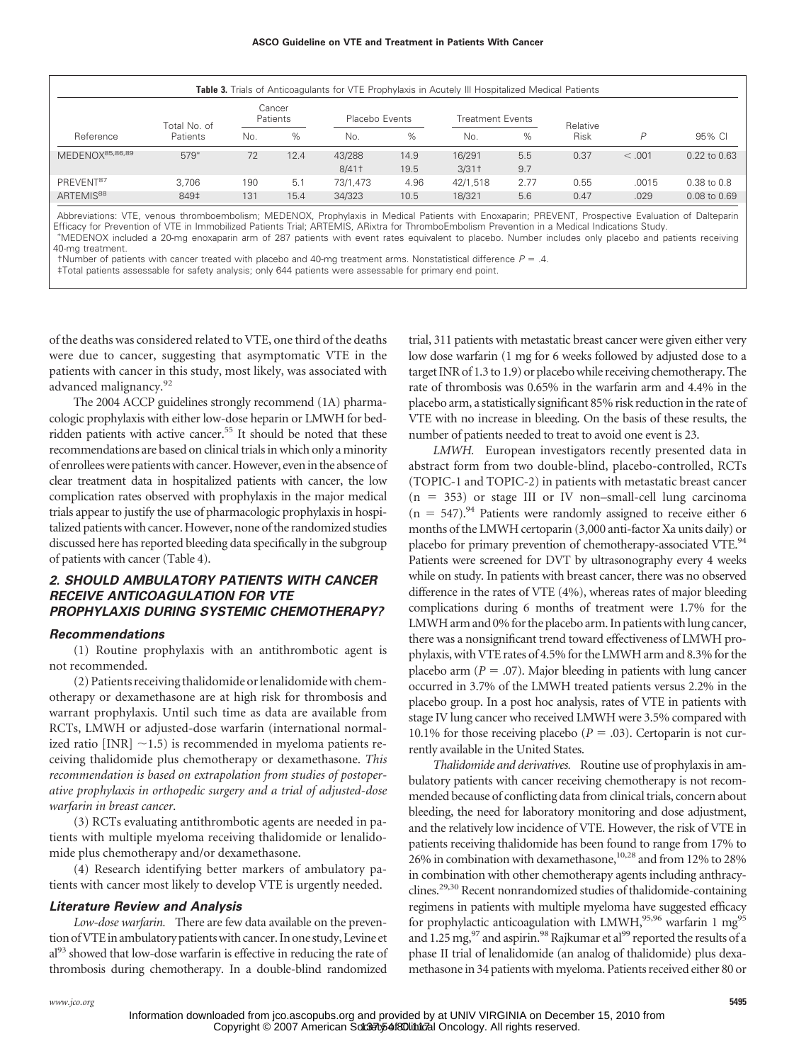| <b>Table 3.</b> Trials of Anticoagulants for VTE Prophylaxis in Acutely III Hospitalized Medical Patients |               |            |                    |                               |              |                    |             |              |               |                                 |
|-----------------------------------------------------------------------------------------------------------|---------------|------------|--------------------|-------------------------------|--------------|--------------------|-------------|--------------|---------------|---------------------------------|
|                                                                                                           | Total No. of  |            | Cancer<br>Patients | Placebo Events                |              | Treatment Events   |             | Relative     |               |                                 |
| Reference                                                                                                 | Patients      | No.        | $\%$               | No.                           | $\%$         | No.                | %           | Risk         | D             | 95% CI                          |
| MEDENOX85,86,89                                                                                           | 579*          | 72         | 12.4               | 43/288<br>$8/41$ <sup>+</sup> | 14.9<br>19.5 | 16/291<br>3/311    | 5.5<br>9.7  | 0.37         | < 0.001       | $0.22$ to $0.63$                |
| PREVENT <sup>87</sup><br>ARTEMIS <sup>88</sup>                                                            | 3.706<br>849‡ | 190<br>131 | 5.1<br>15.4        | 73/1.473<br>34/323            | 4.96<br>10.5 | 42/1.518<br>18/321 | 2.77<br>5.6 | 0.55<br>0.47 | .0015<br>.029 | $0.38$ to $0.8$<br>0.08 to 0.69 |

Abbreviations: VTE, venous thromboembolism; MEDENOX, Prophylaxis in Medical Patients with Enoxaparin; PREVENT, Prospective Evaluation of Dalteparin Efficacy for Prevention of VTE in Immobilized Patients Trial; ARTEMIS, ARixtra for ThromboEmbolism Prevention in a Medical Indications Study. MEDENOX included a 20-mg enoxaparin arm of 287 patients with event rates equivalent to placebo. Number includes only placebo and patients receiving

40-mg treatment.

 $\dagger$ Number of patients with cancer treated with placebo and 40-mg treatment arms. Nonstatistical difference  $P = .4$ .

‡Total patients assessable for safety analysis; only 644 patients were assessable for primary end point.

of the deaths was considered related to VTE, one third of the deaths were due to cancer, suggesting that asymptomatic VTE in the patients with cancer in this study, most likely, was associated with advanced malignancy.<sup>92</sup>

The 2004 ACCP guidelines strongly recommend (1A) pharmacologic prophylaxis with either low-dose heparin or LMWH for bedridden patients with active cancer.<sup>55</sup> It should be noted that these recommendations are based on clinical trials in which only a minority of enrolleeswere patientswith cancer. However, evenin the absence of clear treatment data in hospitalized patients with cancer, the low complication rates observed with prophylaxis in the major medical trials appear to justify the use of pharmacologic prophylaxis in hospitalized patientswith cancer. However, none of the randomized studies discussed here has reported bleeding data specifically in the subgroup of patients with cancer (Table 4).

# *2. SHOULD AMBULATORY PATIENTS WITH CANCER RECEIVE ANTICOAGULATION FOR VTE PROPHYLAXIS DURING SYSTEMIC CHEMOTHERAPY?*

#### *Recommendations*

(1) Routine prophylaxis with an antithrombotic agent is not recommended.

(2) Patients receiving thalidomide or lenalidomidewith chemotherapy or dexamethasone are at high risk for thrombosis and warrant prophylaxis. Until such time as data are available from RCTs, LMWH or adjusted-dose warfarin (international normalized ratio  $[INR] \sim 1.5$ ) is recommended in myeloma patients receiving thalidomide plus chemotherapy or dexamethasone. *This recommendation is based on extrapolation from studies of postoperative prophylaxis in orthopedic surgery and a trial of adjusted-dose warfarin in breast cancer*.

(3) RCTs evaluating antithrombotic agents are needed in patients with multiple myeloma receiving thalidomide or lenalidomide plus chemotherapy and/or dexamethasone.

(4) Research identifying better markers of ambulatory patients with cancer most likely to develop VTE is urgently needed.

#### *Literature Review and Analysis*

*Low-dose warfarin.* There are few data available on the prevention ofVTEin ambulatory patientswith cancer. In one study, Levine et  $al<sup>93</sup>$  showed that low-dose warfarin is effective in reducing the rate of thrombosis during chemotherapy. In a double-blind randomized trial, 311 patients with metastatic breast cancer were given either very low dose warfarin (1 mg for 6 weeks followed by adjusted dose to a target INR of 1.3 to 1.9) or placebowhile receiving chemotherapy. The rate of thrombosis was 0.65% in the warfarin arm and 4.4% in the placebo arm, a statistically significant 85% risk reduction in the rate of VTE with no increase in bleeding. On the basis of these results, the number of patients needed to treat to avoid one event is 23.

*LMWH.* European investigators recently presented data in abstract form from two double-blind, placebo-controlled, RCTs (TOPIC-1 and TOPIC-2) in patients with metastatic breast cancer  $(n = 353)$  or stage III or IV non-small-cell lung carcinoma  $(n = 547).<sup>94</sup>$  Patients were randomly assigned to receive either 6 months of the LMWH certoparin (3,000 anti-factor Xa units daily) or placebo for primary prevention of chemotherapy-associated VTE.<sup>94</sup> Patients were screened for DVT by ultrasonography every 4 weeks while on study. In patients with breast cancer, there was no observed difference in the rates of VTE (4%), whereas rates of major bleeding complications during 6 months of treatment were 1.7% for the LMWH arm and 0% for the placebo arm. In patients with lung cancer, there was a nonsignificant trend toward effectiveness of LMWH prophylaxis, with VTE rates of 4.5% for the LMWH arm and 8.3% for the placebo arm  $(P = .07)$ . Major bleeding in patients with lung cancer occurred in 3.7% of the LMWH treated patients versus 2.2% in the placebo group. In a post hoc analysis, rates of VTE in patients with stage IV lung cancer who received LMWH were 3.5% compared with 10.1% for those receiving placebo ( $P = .03$ ). Certoparin is not currently available in the United States.

*Thalidomide and derivatives.* Routine use of prophylaxis in ambulatory patients with cancer receiving chemotherapy is not recommended because of conflicting data from clinical trials, concern about bleeding, the need for laboratory monitoring and dose adjustment, and the relatively low incidence of VTE. However, the risk of VTE in patients receiving thalidomide has been found to range from 17% to 26% in combination with dexamethasone,<sup>10,28</sup> and from 12% to 28% in combination with other chemotherapy agents including anthracyclines.29,30 Recent nonrandomized studies of thalidomide-containing regimens in patients with multiple myeloma have suggested efficacy for prophylactic anticoagulation with LMWH,<sup>95,96</sup> warfarin 1 mg<sup>95</sup> and 1.25 mg,  $97$  and aspirin.  $98$  Rajkumar et al  $99$  reported the results of a phase II trial of lenalidomide (an analog of thalidomide) plus dexamethasone in 34 patients with myeloma. Patients received either 80 or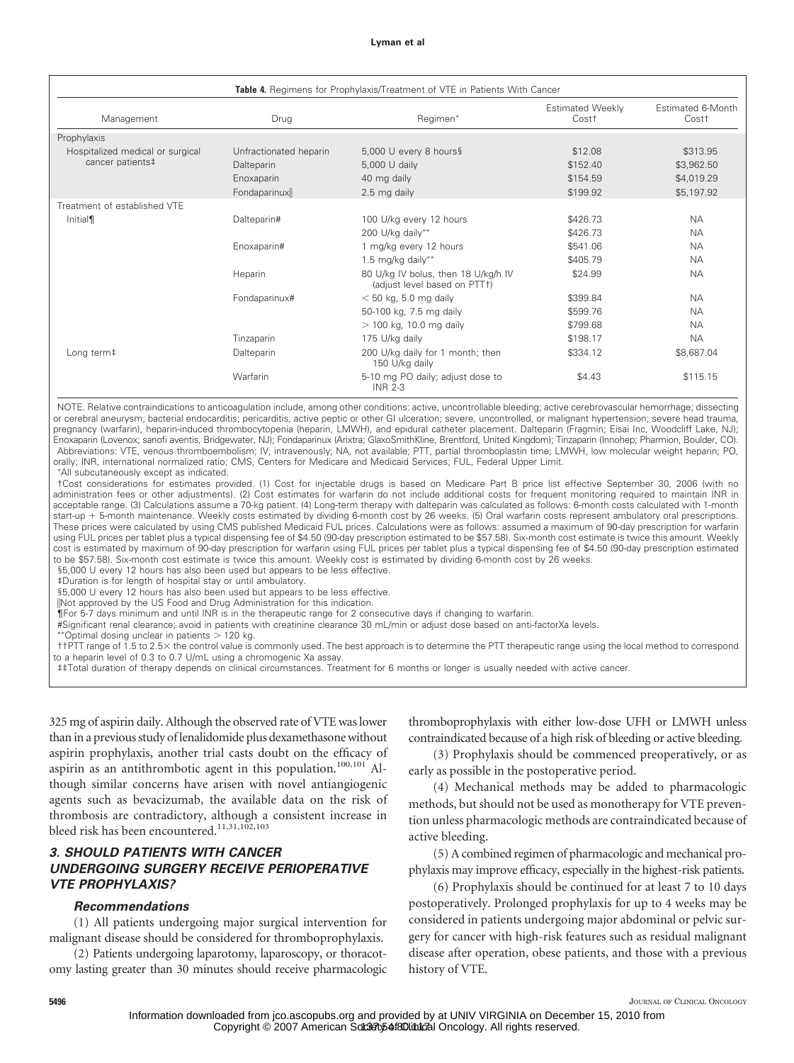#### **Lyman et al**

|                                  |                        | Table 4. Regimens for Prophylaxis/Treatment of VTE in Patients With Cancer |                                              |                                        |
|----------------------------------|------------------------|----------------------------------------------------------------------------|----------------------------------------------|----------------------------------------|
| Management                       | Drug                   | Regimen*                                                                   | <b>Estimated Weekly</b><br>Cost <sup>+</sup> | Estimated 6-Month<br>Cost <sup>+</sup> |
| Prophylaxis                      |                        |                                                                            |                                              |                                        |
| Hospitalized medical or surgical | Unfractionated heparin | 5,000 U every 8 hours§                                                     | \$12.08                                      | \$313.95                               |
| cancer patients#                 | Dalteparin             | 5,000 U daily                                                              | \$152.40                                     | \$3,962.50                             |
|                                  | Enoxaparin             | 40 mg daily                                                                | \$154.59                                     | \$4,019.29                             |
|                                  | Fondaparinux           | 2.5 mg daily                                                               | \$199.92                                     | \$5,197.92                             |
| Treatment of established VTE     |                        |                                                                            |                                              |                                        |
| Initial                          | Dalteparin#            | 100 U/kg every 12 hours                                                    | \$426.73                                     | <b>NA</b>                              |
|                                  |                        | 200 U/kg daily**                                                           | \$426.73                                     | <b>NA</b>                              |
|                                  | Enoxaparin#            | 1 mg/kg every 12 hours                                                     | \$541.06                                     | <b>NA</b>                              |
|                                  |                        | 1.5 mg/kg daily**                                                          | \$405.79                                     | <b>NA</b>                              |
|                                  | Heparin                | 80 U/kg IV bolus, then 18 U/kg/h IV<br>(adjust level based on PTT+)        | \$24.99                                      | <b>NA</b>                              |
|                                  | Fondaparinux#          | $<$ 50 kg, 5.0 mg daily                                                    | \$399.84                                     | <b>NA</b>                              |
|                                  |                        | 50-100 kg, 7.5 mg daily                                                    | \$599.76                                     | <b>NA</b>                              |
|                                  |                        | $>$ 100 kg, 10.0 mg daily                                                  | \$799.68                                     | <b>NA</b>                              |
|                                  | Tinzaparin             | 175 U/kg daily                                                             | \$198.17                                     | <b>NA</b>                              |
| Long term‡                       | Dalteparin             | 200 U/kg daily for 1 month; then<br>150 U/kg daily                         | \$334.12                                     | \$8,687.04                             |
|                                  | Warfarin               | 5-10 mg PO daily; adjust dose to<br><b>INR 2-3</b>                         | \$4.43                                       | \$115.15                               |

NOTE. Relative contraindications to anticoagulation include, among other conditions: active, uncontrollable bleeding; active cerebrovascular hemorrhage; dissecting or cerebral aneurysm; bacterial endocarditis; pericarditis, active peptic or other GI ulceration; severe, uncontrolled, or malignant hypertension; severe head trauma, pregnancy (warfarin), heparin-induced thrombocytopenia (heparin, LMWH), and epidural catheter placement. Dalteparin (Fragmin; Eisai Inc, Woodcliff Lake, NJ); Enoxaparin (Lovenox; sanofi aventis, Bridgewater, NJ); Fondaparinux (Arixtra; GlaxoSmithKline, Brentford, United Kingdom); Tinzaparin (Innohep; Pharmion, Boulder, CO). Abbreviations: VTE, venous thromboembolism; IV, intravenously; NA, not available; PTT, partial thromboplastin time; LMWH, low molecular weight heparin; PO, orally; INR, international normalized ratio; CMS, Centers for Medicare and Medicaid Services; FUL, Federal Upper Limit.

All subcutaneously except as indicated.

†Cost considerations for estimates provided. (1) Cost for injectable drugs is based on Medicare Part B price list effective September 30, 2006 (with no administration fees or other adjustments). (2) Cost estimates for warfarin do not include additional costs for frequent monitoring required to maintain INR in acceptable range. (3) Calculations assume a 70-kg patient. (4) Long-term therapy with dalteparin was calculated as follows: 6-month costs calculated with 1-month start-up + 5-month maintenance. Weekly costs estimated by dividing 6-month cost by 26 weeks. (5) Oral warfarin costs represent ambulatory oral prescriptions. These prices were calculated by using CMS published Medicaid FUL prices. Calculations were as follows: assumed a maximum of 90-day prescription for warfarin using FUL prices per tablet plus a typical dispensing fee of \$4.50 (90-day prescription estimated to be \$57.58). Six-month cost estimate is twice this amount. Weekly cost is estimated by maximum of 90-day prescription for warfarin using FUL prices per tablet plus a typical dispensing fee of \$4.50 (90-day prescription estimated to be \$57.58). Six-month cost estimate is twice this amount. Weekly cost is estimated by dividing 6-month cost by 26 weeks. §5,000 U every 12 hours has also been used but appears to be less effective.

‡Duration is for length of hospital stay or until ambulatory.

§5,000 U every 12 hours has also been used but appears to be less effective.

Not approved by the US Food and Drug Administration for this indication.

¶For 5-7 days minimum and until INR is in the therapeutic range for 2 consecutive days if changing to warfarin.

#Significant renal clearance; avoid in patients with creatinine clearance 30 mL/min or adjust dose based on anti-factorXa levels.

Optimal dosing unclear in patients 120 kg.

††PTT range of 1.5 to 2.5 the control value is commonly used. The best approach is to determine the PTT therapeutic range using the local method to correspond to a heparin level of 0.3 to 0.7 U/mL using a chromogenic Xa assay.

‡‡Total duration of therapy depends on clinical circumstances. Treatment for 6 months or longer is usually needed with active cancer.

325 mg of aspirin daily. Although the observed rate of VTE was lower than in a previous study of lenalidomide plus dexamethasone without aspirin prophylaxis, another trial casts doubt on the efficacy of aspirin as an antithrombotic agent in this population.100,101 Although similar concerns have arisen with novel antiangiogenic agents such as bevacizumab, the available data on the risk of thrombosis are contradictory, although a consistent increase in bleed risk has been encountered.<sup>11,31,102,103</sup>

### *3. SHOULD PATIENTS WITH CANCER UNDERGOING SURGERY RECEIVE PERIOPERATIVE VTE PROPHYLAXIS?*

#### *Recommendations*

(1) All patients undergoing major surgical intervention for malignant disease should be considered for thromboprophylaxis.

(2) Patients undergoing laparotomy, laparoscopy, or thoracotomy lasting greater than 30 minutes should receive pharmacologic thromboprophylaxis with either low-dose UFH or LMWH unless contraindicated because of a high risk of bleeding or active bleeding.

(3) Prophylaxis should be commenced preoperatively, or as early as possible in the postoperative period.

(4) Mechanical methods may be added to pharmacologic methods, but should not be used as monotherapy for VTE prevention unless pharmacologic methods are contraindicated because of active bleeding.

(5) A combined regimen of pharmacologic and mechanical prophylaxis may improve efficacy, especially in the highest-risk patients.

(6) Prophylaxis should be continued for at least 7 to 10 days postoperatively. Prolonged prophylaxis for up to 4 weeks may be considered in patients undergoing major abdominal or pelvic surgery for cancer with high-risk features such as residual malignant disease after operation, obese patients, and those with a previous history of VTE.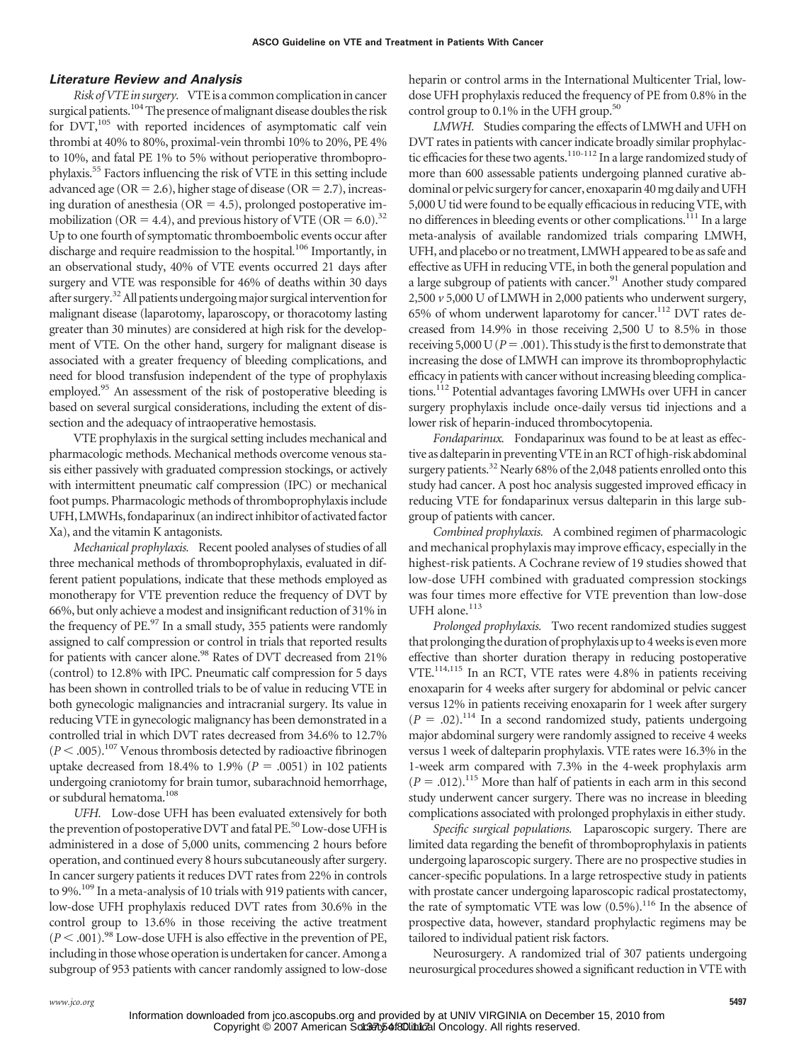#### *Literature Review and Analysis*

*Risk ofVTEin surgery.* VTEis a common complicationin cancer surgical patients.<sup>104</sup> The presence of malignant disease doubles the risk for DVT,<sup>105</sup> with reported incidences of asymptomatic calf vein thrombi at 40% to 80%, proximal-vein thrombi 10% to 20%, PE 4% to 10%, and fatal PE 1% to 5% without perioperative thromboprophylaxis.55 Factors influencing the risk of VTE in this setting include advanced age ( $OR = 2.6$ ), higher stage of disease ( $OR = 2.7$ ), increasing duration of anesthesia ( $OR = 4.5$ ), prolonged postoperative immobilization (OR = 4.4), and previous history of VTE (OR = 6.0).<sup>32</sup> Up to one fourth of symptomatic thromboembolic events occur after discharge and require readmission to the hospital.<sup>106</sup> Importantly, in an observational study, 40% of VTE events occurred 21 days after surgery and VTE was responsible for 46% of deaths within 30 days after surgery.<sup>32</sup> All patients undergoing major surgical intervention for malignant disease (laparotomy, laparoscopy, or thoracotomy lasting greater than 30 minutes) are considered at high risk for the development of VTE. On the other hand, surgery for malignant disease is associated with a greater frequency of bleeding complications, and need for blood transfusion independent of the type of prophylaxis employed.<sup>95</sup> An assessment of the risk of postoperative bleeding is based on several surgical considerations, including the extent of dissection and the adequacy of intraoperative hemostasis.

VTE prophylaxis in the surgical setting includes mechanical and pharmacologic methods. Mechanical methods overcome venous stasis either passively with graduated compression stockings, or actively with intermittent pneumatic calf compression (IPC) or mechanical foot pumps. Pharmacologic methods of thromboprophylaxis include UFH, LMWHs, fondaparinux (an indirect inhibitor of activated factor Xa), and the vitamin K antagonists.

*Mechanical prophylaxis.* Recent pooled analyses of studies of all three mechanical methods of thromboprophylaxis, evaluated in different patient populations, indicate that these methods employed as monotherapy for VTE prevention reduce the frequency of DVT by 66%, but only achieve a modest and insignificant reduction of 31% in the frequency of PE.<sup>97</sup> In a small study, 355 patients were randomly assigned to calf compression or control in trials that reported results for patients with cancer alone.<sup>98</sup> Rates of DVT decreased from 21% (control) to 12.8% with IPC. Pneumatic calf compression for 5 days has been shown in controlled trials to be of value in reducing VTE in both gynecologic malignancies and intracranial surgery. Its value in reducing VTE in gynecologic malignancy has been demonstrated in a controlled trial in which DVT rates decreased from 34.6% to 12.7%  $(P<.005).^\mathrm{107}$  Venous thrombosis detected by radioactive fibrinogen uptake decreased from  $18.4\%$  to  $1.9\%$   $(P = .0051)$  in 102 patients undergoing craniotomy for brain tumor, subarachnoid hemorrhage, or subdural hematoma.<sup>108</sup>

*UFH.* Low-dose UFH has been evaluated extensively for both the prevention of postoperative DVT and fatal PE.<sup>50</sup> Low-dose UFH is administered in a dose of 5,000 units, commencing 2 hours before operation, and continued every 8 hours subcutaneously after surgery. In cancer surgery patients it reduces DVT rates from 22% in controls to 9%.<sup>109</sup> In a meta-analysis of 10 trials with 919 patients with cancer, low-dose UFH prophylaxis reduced DVT rates from 30.6% in the control group to 13.6% in those receiving the active treatment  $(P < .001)$ .<sup>98</sup> Low-dose UFH is also effective in the prevention of PE, including in those whose operation is undertaken for cancer. Among a subgroup of 953 patients with cancer randomly assigned to low-dose heparin or control arms in the International Multicenter Trial, lowdose UFH prophylaxis reduced the frequency of PE from 0.8% in the control group to  $0.1\%$  in the UFH group.<sup>50</sup>

*LMWH.* Studies comparing the effects of LMWH and UFH on DVT rates in patients with cancer indicate broadly similar prophylactic efficacies for these two agents.<sup>110-112</sup> In a large randomized study of more than 600 assessable patients undergoing planned curative abdominal or pelvic surgery for cancer, enoxaparin 40 mg daily and UFH 5,000 U tid werefound to be equally efficacious in reducing VTE, with no differences in bleeding events or other complications.<sup>111</sup> In a large meta-analysis of available randomized trials comparing LMWH, UFH, and placebo or no treatment, LMWH appeared to be as safe and effective as UFH in reducing VTE, in both the general population and a large subgroup of patients with cancer. $91$  Another study compared 2,500 *v* 5,000 U of LMWH in 2,000 patients who underwent surgery, 65% of whom underwent laparotomy for cancer.112 DVT rates decreased from 14.9% in those receiving 2,500 U to 8.5% in those receiving  $5,000$  U ( $P = .001$ ). This study is the first to demonstrate that increasing the dose of LMWH can improve its thromboprophylactic efficacy in patients with cancer without increasing bleeding complications.112 Potential advantages favoring LMWHs over UFH in cancer surgery prophylaxis include once-daily versus tid injections and a lower risk of heparin-induced thrombocytopenia.

*Fondaparinux.* Fondaparinux was found to be at least as effective as dalteparin in preventing VTE in an RCT of high-risk abdominal surgery patients.<sup>32</sup> Nearly 68% of the 2,048 patients enrolled onto this study had cancer. A post hoc analysis suggested improved efficacy in reducing VTE for fondaparinux versus dalteparin in this large subgroup of patients with cancer.

*Combined prophylaxis.* A combined regimen of pharmacologic and mechanical prophylaxis may improve efficacy, especially in the highest-risk patients. A Cochrane review of 19 studies showed that low-dose UFH combined with graduated compression stockings was four times more effective for VTE prevention than low-dose UFH alone. $113$ 

*Prolonged prophylaxis.* Two recent randomized studies suggest that prolonging the duration of prophylaxis up to 4 weeks is even more effective than shorter duration therapy in reducing postoperative VTE.114,115 In an RCT, VTE rates were 4.8% in patients receiving enoxaparin for 4 weeks after surgery for abdominal or pelvic cancer versus 12% in patients receiving enoxaparin for 1 week after surgery  $(P = .02).$ <sup>114</sup> In a second randomized study, patients undergoing major abdominal surgery were randomly assigned to receive 4 weeks versus 1 week of dalteparin prophylaxis. VTE rates were 16.3% in the 1-week arm compared with 7.3% in the 4-week prophylaxis arm  $(P = .012).$ <sup>115</sup> More than half of patients in each arm in this second study underwent cancer surgery. There was no increase in bleeding complications associated with prolonged prophylaxis in either study.

*Specific surgical populations.* Laparoscopic surgery. There are limited data regarding the benefit of thromboprophylaxis in patients undergoing laparoscopic surgery. There are no prospective studies in cancer-specific populations. In a large retrospective study in patients with prostate cancer undergoing laparoscopic radical prostatectomy, the rate of symptomatic VTE was low  $(0.5\%)$ .<sup>116</sup> In the absence of prospective data, however, standard prophylactic regimens may be tailored to individual patient risk factors.

Neurosurgery. A randomized trial of 307 patients undergoing neurosurgical procedures showed a significant reduction in VTE with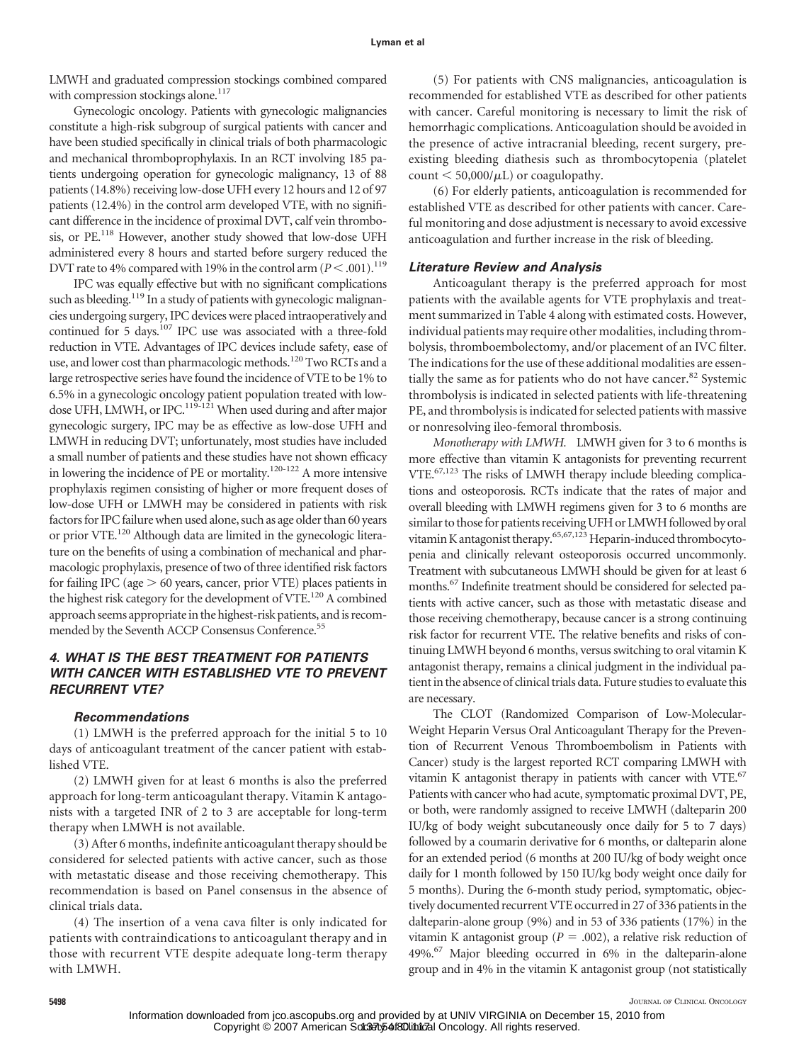LMWH and graduated compression stockings combined compared with compression stockings alone.<sup>117</sup>

Gynecologic oncology. Patients with gynecologic malignancies constitute a high-risk subgroup of surgical patients with cancer and have been studied specifically in clinical trials of both pharmacologic and mechanical thromboprophylaxis. In an RCT involving 185 patients undergoing operation for gynecologic malignancy, 13 of 88 patients (14.8%) receiving low-dose UFH every 12 hours and 12 of 97 patients (12.4%) in the control arm developed VTE, with no significant difference in the incidence of proximal DVT, calf vein thrombosis, or PE.118 However, another study showed that low-dose UFH administered every 8 hours and started before surgery reduced the DVT rate to 4% compared with 19% in the control arm ( $P < .001$ ).<sup>119</sup>

IPC was equally effective but with no significant complications such as bleeding.<sup>119</sup> In a study of patients with gynecologic malignancies undergoing surgery, IPC devices were placed intraoperatively and continued for 5 days.<sup>107</sup> IPC use was associated with a three-fold reduction in VTE. Advantages of IPC devices include safety, ease of use, and lower cost than pharmacologic methods.<sup>120</sup> Two RCTs and a large retrospective series have found the incidence of VTE to be 1% to 6.5% in a gynecologic oncology patient population treated with lowdose UFH, LMWH, or IPC.<sup>119-121</sup> When used during and after major gynecologic surgery, IPC may be as effective as low-dose UFH and LMWH in reducing DVT; unfortunately, most studies have included a small number of patients and these studies have not shown efficacy in lowering the incidence of PE or mortality.120-122 A more intensive prophylaxis regimen consisting of higher or more frequent doses of low-dose UFH or LMWH may be considered in patients with risk factors for IPC failure when used alone, such as age older than 60 years or prior VTE.120 Although data are limited in the gynecologic literature on the benefits of using a combination of mechanical and pharmacologic prophylaxis, presence of two of three identified risk factors for failing IPC (age  $> 60$  years, cancer, prior VTE) places patients in the highest risk category for the development of VTE.<sup>120</sup> A combined approach seems appropriate in the highest-risk patients, and is recommended by the Seventh ACCP Consensus Conference.<sup>55</sup>

# *4. WHAT IS THE BEST TREATMENT FOR PATIENTS WITH CANCER WITH ESTABLISHED VTE TO PREVENT RECURRENT VTE?*

#### *Recommendations*

(1) LMWH is the preferred approach for the initial 5 to 10 days of anticoagulant treatment of the cancer patient with established VTE.

(2) LMWH given for at least 6 months is also the preferred approach for long-term anticoagulant therapy. Vitamin K antagonists with a targeted INR of 2 to 3 are acceptable for long-term therapy when LMWH is not available.

(3) After 6 months, indefinite anticoagulant therapy should be considered for selected patients with active cancer, such as those with metastatic disease and those receiving chemotherapy. This recommendation is based on Panel consensus in the absence of clinical trials data.

(4) The insertion of a vena cava filter is only indicated for patients with contraindications to anticoagulant therapy and in those with recurrent VTE despite adequate long-term therapy with LMWH.

(5) For patients with CNS malignancies, anticoagulation is recommended for established VTE as described for other patients with cancer. Careful monitoring is necessary to limit the risk of hemorrhagic complications. Anticoagulation should be avoided in the presence of active intracranial bleeding, recent surgery, preexisting bleeding diathesis such as thrombocytopenia (platelet count  $<$  50,000/ $\mu$ L) or coagulopathy.

(6) For elderly patients, anticoagulation is recommended for established VTE as described for other patients with cancer. Careful monitoring and dose adjustment is necessary to avoid excessive anticoagulation and further increase in the risk of bleeding.

#### *Literature Review and Analysis*

Anticoagulant therapy is the preferred approach for most patients with the available agents for VTE prophylaxis and treatment summarized in Table 4 along with estimated costs. However, individual patients may require other modalities, including thrombolysis, thromboembolectomy, and/or placement of an IVC filter. The indications for the use of these additional modalities are essentially the same as for patients who do not have cancer.<sup>82</sup> Systemic thrombolysis is indicated in selected patients with life-threatening PE, and thrombolysis is indicated for selected patients with massive or nonresolving ileo-femoral thrombosis.

*Monotherapy with LMWH.* LMWH given for 3 to 6 months is more effective than vitamin K antagonists for preventing recurrent VTE.<sup>67,123</sup> The risks of LMWH therapy include bleeding complications and osteoporosis. RCTs indicate that the rates of major and overall bleeding with LMWH regimens given for 3 to 6 months are similar to those for patients receiving UFH or LMWH followed by oral vitamin K antagonist therapy.<sup>65,67,123</sup> Heparin-induced thrombocytopenia and clinically relevant osteoporosis occurred uncommonly. Treatment with subcutaneous LMWH should be given for at least 6 months.67 Indefinite treatment should be considered for selected patients with active cancer, such as those with metastatic disease and those receiving chemotherapy, because cancer is a strong continuing risk factor for recurrent VTE. The relative benefits and risks of continuing LMWH beyond 6 months, versus switching to oral vitamin K antagonist therapy, remains a clinical judgment in the individual patient in the absence of clinical trials data. Future studies to evaluate this are necessary.

The CLOT (Randomized Comparison of Low-Molecular-Weight Heparin Versus Oral Anticoagulant Therapy for the Prevention of Recurrent Venous Thromboembolism in Patients with Cancer) study is the largest reported RCT comparing LMWH with vitamin K antagonist therapy in patients with cancer with VTE.<sup>67</sup> Patients with cancer who had acute, symptomatic proximal DVT, PE, or both, were randomly assigned to receive LMWH (dalteparin 200 IU/kg of body weight subcutaneously once daily for 5 to 7 days) followed by a coumarin derivative for 6 months, or dalteparin alone for an extended period (6 months at 200 IU/kg of body weight once daily for 1 month followed by 150 IU/kg body weight once daily for 5 months). During the 6-month study period, symptomatic, objectively documented recurrent VTE occurred in 27 of 336 patients in the dalteparin-alone group (9%) and in 53 of 336 patients (17%) in the vitamin K antagonist group ( $P = .002$ ), a relative risk reduction of 49%.67 Major bleeding occurred in 6% in the dalteparin-alone group and in 4% in the vitamin K antagonist group (not statistically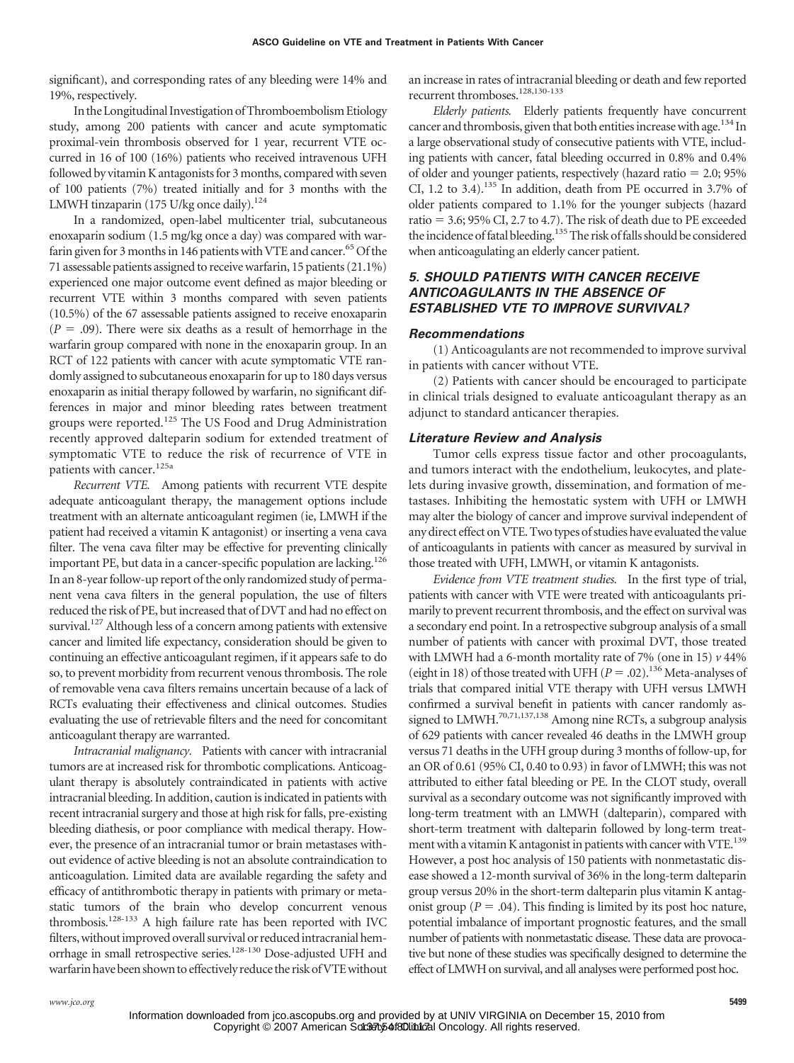significant), and corresponding rates of any bleeding were 14% and 19%, respectively.

In the Longitudinal Investigation of Thromboembolism Etiology study, among 200 patients with cancer and acute symptomatic proximal-vein thrombosis observed for 1 year, recurrent VTE occurred in 16 of 100 (16%) patients who received intravenous UFH followed by vitamin K antagonists for 3 months, compared with seven of 100 patients (7%) treated initially and for 3 months with the LMWH tinzaparin (175 U/kg once daily).<sup>124</sup>

In a randomized, open-label multicenter trial, subcutaneous enoxaparin sodium (1.5 mg/kg once a day) was compared with warfarin given for 3 months in 146 patients with VTE and cancer.<sup>65</sup> Of the 71 assessable patients assigned to receive warfarin, 15 patients (21.1%) experienced one major outcome event defined as major bleeding or recurrent VTE within 3 months compared with seven patients (10.5%) of the 67 assessable patients assigned to receive enoxaparin  $(P = .09)$ . There were six deaths as a result of hemorrhage in the warfarin group compared with none in the enoxaparin group. In an RCT of 122 patients with cancer with acute symptomatic VTE randomly assigned to subcutaneous enoxaparin for up to 180 days versus enoxaparin as initial therapy followed by warfarin, no significant differences in major and minor bleeding rates between treatment groups were reported.<sup>125</sup> The US Food and Drug Administration recently approved dalteparin sodium for extended treatment of symptomatic VTE to reduce the risk of recurrence of VTE in patients with cancer.<sup>125a</sup>

*Recurrent VTE.* Among patients with recurrent VTE despite adequate anticoagulant therapy, the management options include treatment with an alternate anticoagulant regimen (ie, LMWH if the patient had received a vitamin K antagonist) or inserting a vena cava filter. The vena cava filter may be effective for preventing clinically important PE, but data in a cancer-specific population are lacking.<sup>126</sup> In an 8-year follow-up report of the only randomized study of permanent vena cava filters in the general population, the use of filters reduced the risk of PE, but increased that of DVT and had no effect on survival.<sup>127</sup> Although less of a concern among patients with extensive cancer and limited life expectancy, consideration should be given to continuing an effective anticoagulant regimen, if it appears safe to do so, to prevent morbidity from recurrent venous thrombosis. The role of removable vena cava filters remains uncertain because of a lack of RCTs evaluating their effectiveness and clinical outcomes. Studies evaluating the use of retrievable filters and the need for concomitant anticoagulant therapy are warranted.

*Intracranial malignancy.* Patients with cancer with intracranial tumors are at increased risk for thrombotic complications. Anticoagulant therapy is absolutely contraindicated in patients with active intracranial bleeding. In addition, caution is indicated in patients with recent intracranial surgery and those at high risk for falls, pre-existing bleeding diathesis, or poor compliance with medical therapy. However, the presence of an intracranial tumor or brain metastases without evidence of active bleeding is not an absolute contraindication to anticoagulation. Limited data are available regarding the safety and efficacy of antithrombotic therapy in patients with primary or metastatic tumors of the brain who develop concurrent venous thrombosis.128-133 A high failure rate has been reported with IVC filters, without improved overall survival or reduced intracranial hemorrhage in small retrospective series.<sup>128-130</sup> Dose-adjusted UFH and warfarin have been shown to effectively reduce the risk of VTE without an increase in rates of intracranial bleeding or death and few reported recurrent thromboses.<sup>128,130-133</sup>

*Elderly patients.* Elderly patients frequently have concurrent cancer and thrombosis, given that both entities increase with age.<sup>134</sup> In a large observational study of consecutive patients with VTE, including patients with cancer, fatal bleeding occurred in 0.8% and 0.4% of older and younger patients, respectively (hazard ratio  $= 2.0$ ; 95% CI, 1.2 to 3.4). $^{135}$  In addition, death from PE occurred in 3.7% of older patients compared to 1.1% for the younger subjects (hazard ratio  $= 3.6$ ; 95% CI, 2.7 to 4.7). The risk of death due to PE exceeded the incidence of fatal bleeding.<sup>135</sup> The risk of falls should be considered when anticoagulating an elderly cancer patient.

#### *5. SHOULD PATIENTS WITH CANCER RECEIVE ANTICOAGULANTS IN THE ABSENCE OF ESTABLISHED VTE TO IMPROVE SURVIVAL?*

#### *Recommendations*

(1) Anticoagulants are not recommended to improve survival in patients with cancer without VTE.

(2) Patients with cancer should be encouraged to participate in clinical trials designed to evaluate anticoagulant therapy as an adjunct to standard anticancer therapies.

#### *Literature Review and Analysis*

Tumor cells express tissue factor and other procoagulants, and tumors interact with the endothelium, leukocytes, and platelets during invasive growth, dissemination, and formation of metastases. Inhibiting the hemostatic system with UFH or LMWH may alter the biology of cancer and improve survival independent of any direct effect on VTE. Two types of studies have evaluated the value of anticoagulants in patients with cancer as measured by survival in those treated with UFH, LMWH, or vitamin K antagonists.

*Evidence from VTE treatment studies.* In the first type of trial, patients with cancer with VTE were treated with anticoagulants primarily to prevent recurrent thrombosis, and the effect on survival was a secondary end point. In a retrospective subgroup analysis of a small number of patients with cancer with proximal DVT, those treated with LMWH had a 6-month mortality rate of 7% (one in 15) *v* 44% (eight in 18) of those treated with UFH  $(P = .02)$ .<sup>136</sup> Meta-analyses of trials that compared initial VTE therapy with UFH versus LMWH confirmed a survival benefit in patients with cancer randomly assigned to LMWH.<sup>70,71,137,138</sup> Among nine RCTs, a subgroup analysis of 629 patients with cancer revealed 46 deaths in the LMWH group versus 71 deaths in the UFH group during 3 months of follow-up, for an OR of 0.61 (95% CI, 0.40 to 0.93) in favor of LMWH; this was not attributed to either fatal bleeding or PE. In the CLOT study, overall survival as a secondary outcome was not significantly improved with long-term treatment with an LMWH (dalteparin), compared with short-term treatment with dalteparin followed by long-term treatment with a vitamin K antagonist in patients with cancer with VTE.<sup>139</sup> However, a post hoc analysis of 150 patients with nonmetastatic disease showed a 12-month survival of 36% in the long-term dalteparin group versus 20% in the short-term dalteparin plus vitamin K antagonist group ( $P = .04$ ). This finding is limited by its post hoc nature, potential imbalance of important prognostic features, and the small number of patients with nonmetastatic disease. These data are provocative but none of these studies was specifically designed to determine the effect of LMWH on survival, and all analyses were performed post hoc.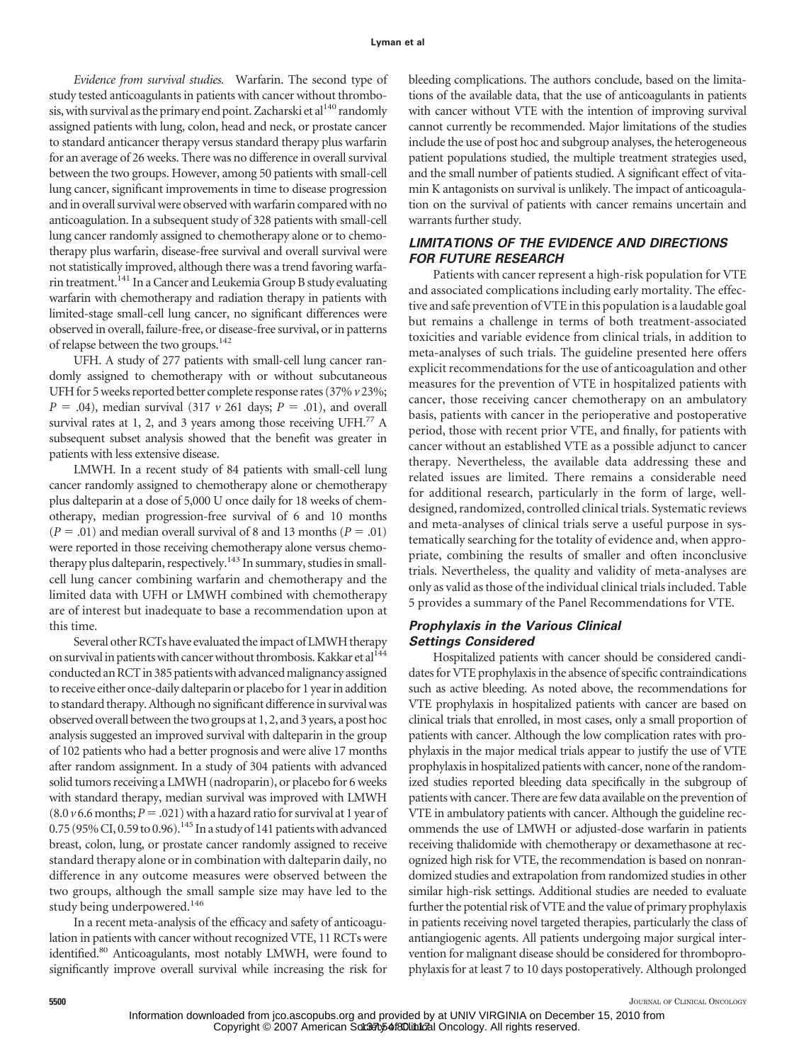*Evidence from survival studies.* Warfarin. The second type of study tested anticoagulants in patients with cancer without thrombosis, with survival as the primary end point. Zacharski et al<sup>140</sup> randomly assigned patients with lung, colon, head and neck, or prostate cancer to standard anticancer therapy versus standard therapy plus warfarin for an average of 26 weeks. There was no difference in overall survival between the two groups. However, among 50 patients with small-cell lung cancer, significant improvements in time to disease progression and in overall survival were observed with warfarin compared with no anticoagulation. In a subsequent study of 328 patients with small-cell lung cancer randomly assigned to chemotherapy alone or to chemotherapy plus warfarin, disease-free survival and overall survival were not statistically improved, although there was a trend favoring warfarin treatment.141 In a Cancer and Leukemia Group B study evaluating warfarin with chemotherapy and radiation therapy in patients with limited-stage small-cell lung cancer, no significant differences were observed in overall, failure-free, or disease-free survival, or in patterns of relapse between the two groups.<sup>142</sup>

UFH. A study of 277 patients with small-cell lung cancer randomly assigned to chemotherapy with or without subcutaneous UFH for 5 weeks reported better complete response rates (37%  $v$  23%;  $P = .04$ ), median survival (317  $\nu$  261 days;  $P = .01$ ), and overall survival rates at 1, 2, and 3 years among those receiving UFH.<sup>77</sup> A subsequent subset analysis showed that the benefit was greater in patients with less extensive disease.

LMWH. In a recent study of 84 patients with small-cell lung cancer randomly assigned to chemotherapy alone or chemotherapy plus dalteparin at a dose of 5,000 U once daily for 18 weeks of chemotherapy, median progression-free survival of 6 and 10 months  $(P = .01)$  and median overall survival of 8 and 13 months  $(P = .01)$ were reported in those receiving chemotherapy alone versus chemotherapy plus dalteparin, respectively.<sup>143</sup> In summary, studies in smallcell lung cancer combining warfarin and chemotherapy and the limited data with UFH or LMWH combined with chemotherapy are of interest but inadequate to base a recommendation upon at this time.

Several other RCTs have evaluated the impact of LMWH therapy on survival in patients with cancer without thrombosis. Kakkar et al<sup>144</sup> conducted an RCT in 385 patients with advanced malignancy assigned to receive either once-daily dalteparin or placebo for 1 year in addition to standard therapy. Although no significant difference in survival was observed overall between the two groups at 1, 2, and 3 years, a post hoc analysis suggested an improved survival with dalteparin in the group of 102 patients who had a better prognosis and were alive 17 months after random assignment. In a study of 304 patients with advanced solid tumors receiving a LMWH (nadroparin), or placebo for 6 weeks with standard therapy, median survival was improved with LMWH  $(8.0 v 6.6$  months;  $P = .021$ ) with a hazard ratio for survival at 1 year of 0.75 (95% CI, 0.59 to 0.96).<sup>145</sup> In a study of 141 patients with advanced breast, colon, lung, or prostate cancer randomly assigned to receive standard therapy alone or in combination with dalteparin daily, no difference in any outcome measures were observed between the two groups, although the small sample size may have led to the study being underpowered.<sup>146</sup>

In a recent meta-analysis of the efficacy and safety of anticoagulation in patients with cancer without recognized VTE, 11 RCTs were identified.<sup>80</sup> Anticoagulants, most notably LMWH, were found to significantly improve overall survival while increasing the risk for

bleeding complications. The authors conclude, based on the limitations of the available data, that the use of anticoagulants in patients with cancer without VTE with the intention of improving survival cannot currently be recommended. Major limitations of the studies include the use of post hoc and subgroup analyses, the heterogeneous patient populations studied, the multiple treatment strategies used, and the small number of patients studied. A significant effect of vitamin K antagonists on survival is unlikely. The impact of anticoagulation on the survival of patients with cancer remains uncertain and warrants further study.

## *LIMITATIONS OF THE EVIDENCE AND DIRECTIONS FOR FUTURE RESEARCH*

Patients with cancer represent a high-risk population for VTE and associated complications including early mortality. The effective and safe prevention of VTE in this population is a laudable goal but remains a challenge in terms of both treatment-associated toxicities and variable evidence from clinical trials, in addition to meta-analyses of such trials. The guideline presented here offers explicit recommendations for the use of anticoagulation and other measures for the prevention of VTE in hospitalized patients with cancer, those receiving cancer chemotherapy on an ambulatory basis, patients with cancer in the perioperative and postoperative period, those with recent prior VTE, and finally, for patients with cancer without an established VTE as a possible adjunct to cancer therapy. Nevertheless, the available data addressing these and related issues are limited. There remains a considerable need for additional research, particularly in the form of large, welldesigned, randomized, controlled clinical trials. Systematic reviews and meta-analyses of clinical trials serve a useful purpose in systematically searching for the totality of evidence and, when appropriate, combining the results of smaller and often inconclusive trials. Nevertheless, the quality and validity of meta-analyses are only as valid as those of the individual clinical trials included. Table 5 provides a summary of the Panel Recommendations for VTE.

#### *Prophylaxis in the Various Clinical Settings Considered*

Hospitalized patients with cancer should be considered candidates for VTE prophylaxis in the absence of specific contraindications such as active bleeding. As noted above, the recommendations for VTE prophylaxis in hospitalized patients with cancer are based on clinical trials that enrolled, in most cases, only a small proportion of patients with cancer. Although the low complication rates with prophylaxis in the major medical trials appear to justify the use of VTE prophylaxis in hospitalized patients with cancer, none of the randomized studies reported bleeding data specifically in the subgroup of patients with cancer. There are few data available on the prevention of VTE in ambulatory patients with cancer. Although the guideline recommends the use of LMWH or adjusted-dose warfarin in patients receiving thalidomide with chemotherapy or dexamethasone at recognized high risk for VTE, the recommendation is based on nonrandomized studies and extrapolation from randomized studies in other similar high-risk settings. Additional studies are needed to evaluate further the potential risk of VTE and the value of primary prophylaxis in patients receiving novel targeted therapies, particularly the class of antiangiogenic agents. All patients undergoing major surgical intervention for malignant disease should be considered for thromboprophylaxis for at least 7 to 10 days postoperatively. Although prolonged

**5500** JOURNAL OF CLINICAL ONCOLOGY Information downloaded from jco.ascopubs.org and provided by at UNIV VIRGINIA on December 15, 2010 from<br>Copyright © 2007 American Sotterty of Corcology. All rights reserved.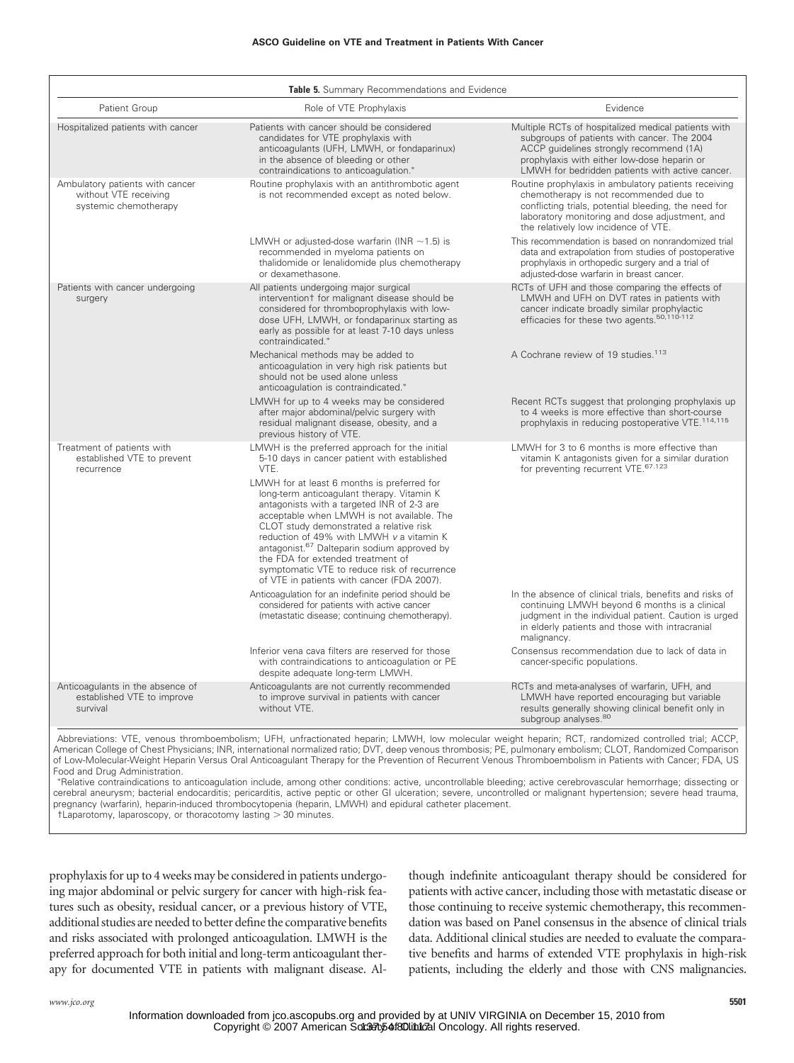|                                                                                   | Table 5. Summary Recommendations and Evidence                                                                                                                                                                                                                                                                                                                                                                                                                                                                                                                                                                                              |                                                                                                                                                                                                                                                  |
|-----------------------------------------------------------------------------------|--------------------------------------------------------------------------------------------------------------------------------------------------------------------------------------------------------------------------------------------------------------------------------------------------------------------------------------------------------------------------------------------------------------------------------------------------------------------------------------------------------------------------------------------------------------------------------------------------------------------------------------------|--------------------------------------------------------------------------------------------------------------------------------------------------------------------------------------------------------------------------------------------------|
| Patient Group                                                                     | Role of VTE Prophylaxis                                                                                                                                                                                                                                                                                                                                                                                                                                                                                                                                                                                                                    | Evidence                                                                                                                                                                                                                                         |
| Hospitalized patients with cancer                                                 | Patients with cancer should be considered<br>candidates for VTE prophylaxis with<br>anticoagulants (UFH, LMWH, or fondaparinux)<br>in the absence of bleeding or other<br>contraindications to anticoaqulation."                                                                                                                                                                                                                                                                                                                                                                                                                           | Multiple RCTs of hospitalized medical patients with<br>subgroups of patients with cancer. The 2004<br>ACCP quidelines strongly recommend (1A)<br>prophylaxis with either low-dose heparin or<br>LMWH for bedridden patients with active cancer.  |
| Ambulatory patients with cancer<br>without VTE receiving<br>systemic chemotherapy | Routine prophylaxis with an antithrombotic agent<br>is not recommended except as noted below.                                                                                                                                                                                                                                                                                                                                                                                                                                                                                                                                              | Routine prophylaxis in ambulatory patients receiving<br>chemotherapy is not recommended due to<br>conflicting trials, potential bleeding, the need for<br>laboratory monitoring and dose adjustment, and<br>the relatively low incidence of VTE. |
|                                                                                   | LMWH or adjusted-dose warfarin (INR $\sim$ 1.5) is<br>recommended in myeloma patients on<br>thalidomide or lenalidomide plus chemotherapy<br>or dexamethasone.                                                                                                                                                                                                                                                                                                                                                                                                                                                                             | This recommendation is based on nonrandomized trial<br>data and extrapolation from studies of postoperative<br>prophylaxis in orthopedic surgery and a trial of<br>adjusted-dose warfarin in breast cancer.                                      |
| Patients with cancer undergoing<br>surgery                                        | All patients undergoing major surgical<br>intervention <sup>†</sup> for malignant disease should be<br>considered for thromboprophylaxis with low-<br>dose UFH, LMWH, or fondaparinux starting as<br>early as possible for at least 7-10 days unless<br>contraindicated.*                                                                                                                                                                                                                                                                                                                                                                  | RCTs of UFH and those comparing the effects of<br>LMWH and UFH on DVT rates in patients with<br>cancer indicate broadly similar prophylactic<br>efficacies for these two agents. <sup>50,110-112</sup>                                           |
|                                                                                   | Mechanical methods may be added to<br>anticoaqulation in very high risk patients but<br>should not be used alone unless<br>anticoaqulation is contraindicated.*                                                                                                                                                                                                                                                                                                                                                                                                                                                                            | A Cochrane review of 19 studies. <sup>113</sup>                                                                                                                                                                                                  |
|                                                                                   | LMWH for up to 4 weeks may be considered<br>after major abdominal/pelvic surgery with<br>residual malignant disease, obesity, and a<br>previous history of VTE.                                                                                                                                                                                                                                                                                                                                                                                                                                                                            | Recent RCTs suggest that prolonging prophylaxis up<br>to 4 weeks is more effective than short-course<br>prophylaxis in reducing postoperative VTE. <sup>114,115</sup>                                                                            |
| Treatment of patients with<br>established VTE to prevent<br>recurrence            | LMWH is the preferred approach for the initial<br>5-10 days in cancer patient with established<br>VTE.<br>LMWH for at least 6 months is preferred for<br>long-term anticoagulant therapy. Vitamin K<br>antagonists with a targeted INR of 2-3 are<br>acceptable when LMWH is not available. The<br>CLOT study demonstrated a relative risk<br>reduction of 49% with LMWH v a vitamin K<br>antagonist. <sup>67</sup> Dalteparin sodium approved by<br>the FDA for extended treatment of<br>symptomatic VTE to reduce risk of recurrence<br>of VTE in patients with cancer (FDA 2007).<br>Anticoagulation for an indefinite period should be | LMWH for 3 to 6 months is more effective than<br>vitamin K antagonists given for a similar duration<br>for preventing recurrent VTE. 67.123<br>In the absence of clinical trials, benefits and risks of                                          |
|                                                                                   | considered for patients with active cancer<br>(metastatic disease; continuing chemotherapy).                                                                                                                                                                                                                                                                                                                                                                                                                                                                                                                                               | continuing LMWH beyond 6 months is a clinical<br>judgment in the individual patient. Caution is urged<br>in elderly patients and those with intracranial<br>malignancy.                                                                          |
|                                                                                   | Inferior vena cava filters are reserved for those<br>with contraindications to anticoagulation or PE<br>despite adequate long-term LMWH.                                                                                                                                                                                                                                                                                                                                                                                                                                                                                                   | Consensus recommendation due to lack of data in<br>cancer-specific populations.                                                                                                                                                                  |
| Anticoagulants in the absence of<br>established VTE to improve<br>survival        | Anticoagulants are not currently recommended<br>to improve survival in patients with cancer<br>without VTE.                                                                                                                                                                                                                                                                                                                                                                                                                                                                                                                                | RCTs and meta-analyses of warfarin, UFH, and<br>LMWH have reported encouraging but variable<br>results generally showing clinical benefit only in<br>subgroup analyses. <sup>80</sup>                                                            |

Abbreviations: VTE, venous thromboembolism; UFH, unfractionated heparin; LMWH, low molecular weight heparin; RCT, randomized controlled trial; ACCP, American College of Chest Physicians; INR, international normalized ratio; DVT, deep venous thrombosis; PE, pulmonary embolism; CLOT, Randomized Comparison of Low-Molecular-Weight Heparin Versus Oral Anticoagulant Therapy for the Prevention of Recurrent Venous Thromboembolism in Patients with Cancer; FDA, US Food and Drug Administration.

 Relative contraindications to anticoagulation include, among other conditions: active, uncontrollable bleeding; active cerebrovascular hemorrhage; dissecting or cerebral aneurysm; bacterial endocarditis; pericarditis, active peptic or other GI ulceration; severe, uncontrolled or malignant hypertension; severe head trauma, pregnancy (warfarin), heparin-induced thrombocytopenia (heparin, LMWH) and epidural catheter placement.

†Laparotomy, laparoscopy, or thoracotomy lasting 30 minutes.

prophylaxis for up to 4 weeks may be considered in patients undergoing major abdominal or pelvic surgery for cancer with high-risk features such as obesity, residual cancer, or a previous history of VTE, additional studies are needed to better define the comparative benefits and risks associated with prolonged anticoagulation. LMWH is the preferred approach for both initial and long-term anticoagulant therapy for documented VTE in patients with malignant disease. Although indefinite anticoagulant therapy should be considered for patients with active cancer, including those with metastatic disease or those continuing to receive systemic chemotherapy, this recommendation was based on Panel consensus in the absence of clinical trials data. Additional clinical studies are needed to evaluate the comparative benefits and harms of extended VTE prophylaxis in high-risk patients, including the elderly and those with CNS malignancies.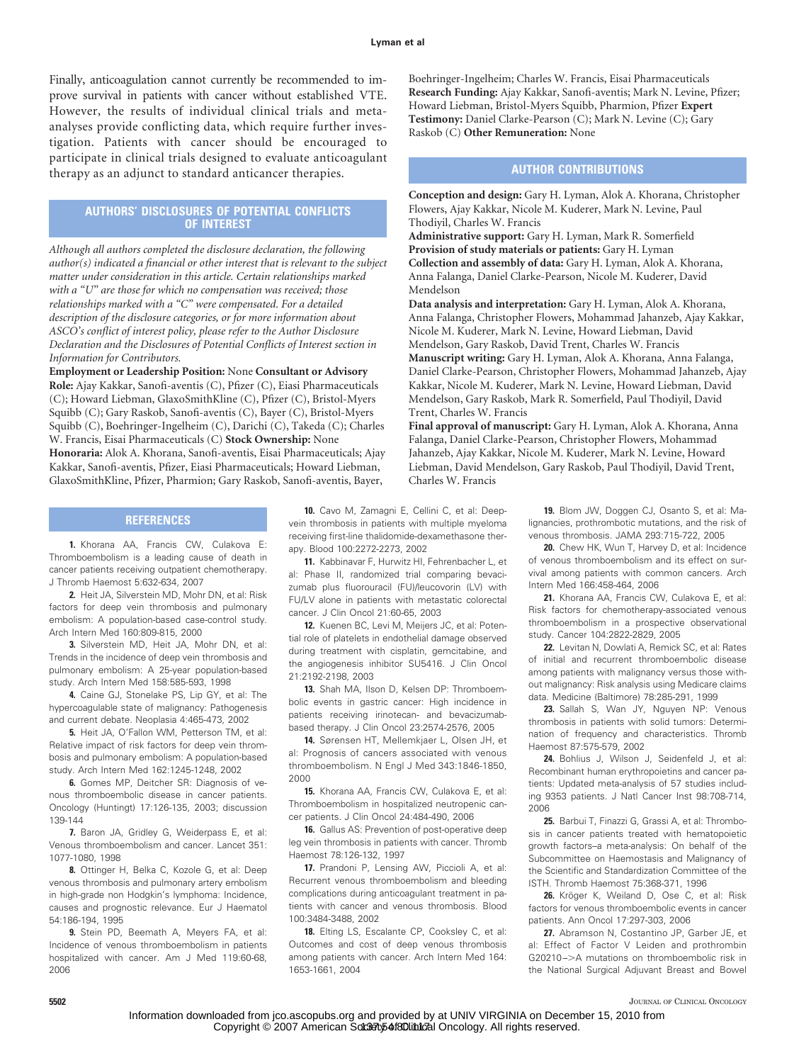**10.** Cavo M, Zamagni E, Cellini C, et al: Deepvein thrombosis in patients with multiple myeloma receiving first-line thalidomide-dexamethasone ther-

**11.** Kabbinavar F, Hurwitz HI, Fehrenbacher L, et al: Phase II, randomized trial comparing bevacizumab plus fluorouracil (FU)/leucovorin (LV) with FU/LV alone in patients with metastatic colorectal

**12.** Kuenen BC, Levi M, Meijers JC, et al: Potential role of platelets in endothelial damage observed during treatment with cisplatin, gemcitabine, and the angiogenesis inhibitor SU5416. J Clin Oncol

**13.** Shah MA, Ilson D, Kelsen DP: Thromboembolic events in gastric cancer: High incidence in patients receiving irinotecan- and bevacizumabbased therapy. J Clin Oncol 23:2574-2576, 2005 **14.** Sørensen HT, Mellemkjaer L, Olsen JH, et al: Prognosis of cancers associated with venous thromboembolism. N Engl J Med 343:1846-1850,

**15.** Khorana AA, Francis CW, Culakova E, et al: Thromboembolism in hospitalized neutropenic cancer patients. J Clin Oncol 24:484-490, 2006

**16.** Gallus AS: Prevention of post-operative deep leg vein thrombosis in patients with cancer. Thromb

**17.** Prandoni P, Lensing AW, Piccioli A, et al: Recurrent venous thromboembolism and bleeding complications during anticoagulant treatment in patients with cancer and venous thrombosis. Blood

**18.** Elting LS, Escalante CP, Cooksley C, et al: Outcomes and cost of deep venous thrombosis among patients with cancer. Arch Intern Med 164:

apy. Blood 100:2272-2273, 2002

cancer. J Clin Oncol 21:60-65, 2003

21:2192-2198, 2003

Haemost 78:126-132, 1997

100:3484-3488, 2002

1653-1661, 2004

2000

Finally, anticoagulation cannot currently be recommended to improve survival in patients with cancer without established VTE. However, the results of individual clinical trials and metaanalyses provide conflicting data, which require further investigation. Patients with cancer should be encouraged to participate in clinical trials designed to evaluate anticoagulant therapy as an adjunct to standard anticancer therapies.

#### **AUTHORS' DISCLOSURES OF POTENTIAL CONFLICTS OF INTEREST**

*Although all authors completed the disclosure declaration, the following author(s) indicated a financial or other interest that is relevant to the subject matter under consideration in this article. Certain relationships marked with a "U" are those for which no compensation was received; those relationships marked with a "C" were compensated. For a detailed description of the disclosure categories, or for more information about ASCO's conflict of interest policy, please refer to the Author Disclosure Declaration and the Disclosures of Potential Conflicts of Interest section in Information for Contributors.*

**Employment or Leadership Position:** None **Consultant or Advisory Role:** Ajay Kakkar, Sanofi-aventis (C), Pfizer (C), Eiasi Pharmaceuticals (C); Howard Liebman, GlaxoSmithKline (C), Pfizer (C), Bristol-Myers Squibb (C); Gary Raskob, Sanofi-aventis (C), Bayer (C), Bristol-Myers Squibb (C), Boehringer-Ingelheim (C), Darichi (C), Takeda (C); Charles W. Francis, Eisai Pharmaceuticals (C) **Stock Ownership:** None **Honoraria:** Alok A. Khorana, Sanofi-aventis, Eisai Pharmaceuticals; Ajay

Kakkar, Sanofi-aventis, Pfizer, Eiasi Pharmaceuticals; Howard Liebman, GlaxoSmithKline, Pfizer, Pharmion; Gary Raskob, Sanofi-aventis, Bayer,

#### **REFERENCES**

**1.** Khorana AA, Francis CW, Culakova E: Thromboembolism is a leading cause of death in cancer patients receiving outpatient chemotherapy. J Thromb Haemost 5:632-634, 2007

**2.** Heit JA, Silverstein MD, Mohr DN, et al: Risk factors for deep vein thrombosis and pulmonary embolism: A population-based case-control study. Arch Intern Med 160:809-815, 2000

**3.** Silverstein MD, Heit JA, Mohr DN, et al: Trends in the incidence of deep vein thrombosis and pulmonary embolism: A 25-year population-based study. Arch Intern Med 158:585-593, 1998

**4.** Caine GJ, Stonelake PS, Lip GY, et al: The hypercoagulable state of malignancy: Pathogenesis and current debate. Neoplasia 4:465-473, 2002

**5.** Heit JA, O'Fallon WM, Petterson TM, et al: Relative impact of risk factors for deep vein thrombosis and pulmonary embolism: A population-based study. Arch Intern Med 162:1245-1248, 2002

**6.** Gomes MP, Deitcher SR: Diagnosis of venous thromboembolic disease in cancer patients. Oncology (Huntingt) 17:126-135, 2003; discussion 139-144

**7.** Baron JA, Gridley G, Weiderpass E, et al: Venous thromboembolism and cancer. Lancet 351: 1077-1080, 1998

**8.** Ottinger H, Belka C, Kozole G, et al: Deep venous thrombosis and pulmonary artery embolism in high-grade non Hodgkin's lymphoma: Incidence, causes and prognostic relevance. Eur J Haematol 54:186-194, 1995

**9.** Stein PD, Beemath A, Meyers FA, et al: Incidence of venous thromboembolism in patients hospitalized with cancer. Am J Med 119:60-68, 2006

Boehringer-Ingelheim; Charles W. Francis, Eisai Pharmaceuticals **Research Funding:** Ajay Kakkar, Sanofi-aventis; Mark N. Levine, Pfizer; Howard Liebman, Bristol-Myers Squibb, Pharmion, Pfizer **Expert Testimony:** Daniel Clarke-Pearson (C); Mark N. Levine (C); Gary Raskob (C) **Other Remuneration:** None

#### **AUTHOR CONTRIBUTIONS**

**Conception and design:** Gary H. Lyman, Alok A. Khorana, Christopher Flowers, Ajay Kakkar, Nicole M. Kuderer, Mark N. Levine, Paul Thodiyil, Charles W. Francis

**Administrative support:** Gary H. Lyman, Mark R. Somerfield **Provision of study materials or patients:** Gary H. Lyman **Collection and assembly of data:** Gary H. Lyman, Alok A. Khorana, Anna Falanga, Daniel Clarke-Pearson, Nicole M. Kuderer, David Mendelson

**Data analysis and interpretation:** Gary H. Lyman, Alok A. Khorana, Anna Falanga, Christopher Flowers, Mohammad Jahanzeb, Ajay Kakkar, Nicole M. Kuderer, Mark N. Levine, Howard Liebman, David Mendelson, Gary Raskob, David Trent, Charles W. Francis **Manuscript writing:** Gary H. Lyman, Alok A. Khorana, Anna Falanga, Daniel Clarke-Pearson, Christopher Flowers, Mohammad Jahanzeb, Ajay Kakkar, Nicole M. Kuderer, Mark N. Levine, Howard Liebman, David Mendelson, Gary Raskob, Mark R. Somerfield, Paul Thodiyil, David Trent, Charles W. Francis

**Final approval of manuscript:** Gary H. Lyman, Alok A. Khorana, Anna Falanga, Daniel Clarke-Pearson, Christopher Flowers, Mohammad Jahanzeb, Ajay Kakkar, Nicole M. Kuderer, Mark N. Levine, Howard Liebman, David Mendelson, Gary Raskob, Paul Thodiyil, David Trent, Charles W. Francis

> **19.** Blom JW, Doggen CJ, Osanto S, et al: Malignancies, prothrombotic mutations, and the risk of venous thrombosis. JAMA 293:715-722, 2005

**20.** Chew HK, Wun T, Harvey D, et al: Incidence of venous thromboembolism and its effect on survival among patients with common cancers. Arch Intern Med 166:458-464, 2006

**21.** Khorana AA, Francis CW, Culakova E, et al: Risk factors for chemotherapy-associated venous thromboembolism in a prospective observational study. Cancer 104:2822-2829, 2005

**22.** Levitan N, Dowlati A, Remick SC, et al: Rates of initial and recurrent thromboembolic disease among patients with malignancy versus those without malignancy: Risk analysis using Medicare claims data. Medicine (Baltimore) 78:285-291, 1999

**23.** Sallah S, Wan JY, Nguyen NP: Venous thrombosis in patients with solid tumors: Determination of frequency and characteristics. Thromb Haemost 87:575-579, 2002

**24.** Bohlius J, Wilson J, Seidenfeld J, et al: Recombinant human erythropoietins and cancer patients: Updated meta-analysis of 57 studies including 9353 patients. J Natl Cancer Inst 98:708-714, 2006

**25.** Barbui T, Finazzi G, Grassi A, et al: Thrombosis in cancer patients treated with hematopoietic growth factors–a meta-analysis: On behalf of the Subcommittee on Haemostasis and Malignancy of the Scientific and Standardization Committee of the ISTH. Thromb Haemost 75:368-371, 1996

**26.** Kröger K, Weiland D, Ose C, et al: Risk factors for venous thromboembolic events in cancer patients. Ann Oncol 17:297-303, 2006

**27.** Abramson N, Costantino JP, Garber JE, et al: Effect of Factor V Leiden and prothrombin G20210–>A mutations on thromboembolic risk in the National Surgical Adjuvant Breast and Bowel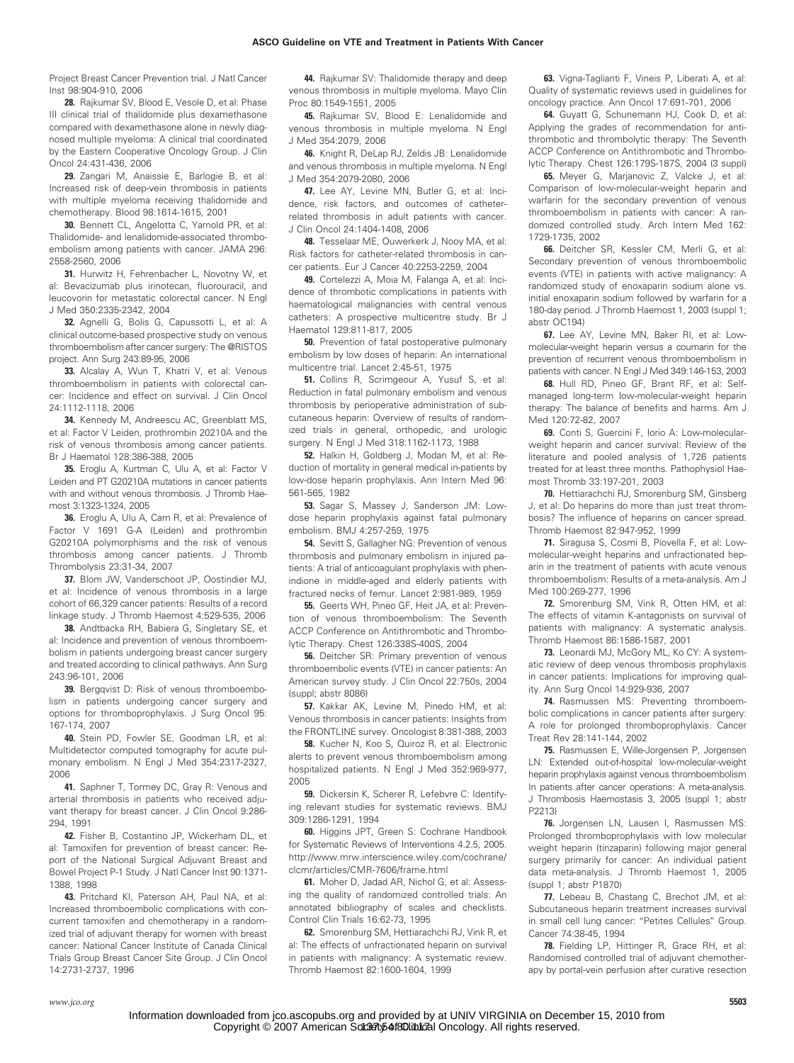Project Breast Cancer Prevention trial. J Natl Cancer Inst 98:904-910, 2006

**28.** Rajkumar SV, Blood E, Vesole D, et al: Phase III clinical trial of thalidomide plus dexamethasone compared with dexamethasone alone in newly diagnosed multiple myeloma: A clinical trial coordinated by the Eastern Cooperative Oncology Group. J Clin Oncol 24:431-436, 2006

**29.** Zangari M, Anaissie E, Barlogie B, et al: Increased risk of deep-vein thrombosis in patients with multiple myeloma receiving thalidomide and chemotherapy. Blood 98:1614-1615, 2001

**30.** Bennett CL, Angelotta C, Yarnold PR, et al: Thalidomide- and lenalidomide-associated thromboembolism among patients with cancer. JAMA 296: 2558-2560, 2006

**31.** Hurwitz H, Fehrenbacher L, Novotny W, et al: Bevacizumab plus irinotecan, fluorouracil, and leucovorin for metastatic colorectal cancer. N Engl J Med 350:2335-2342, 2004

**32.** Agnelli G, Bolis G, Capussotti L, et al: A clinical outcome-based prospective study on venous thromboembolism after cancer surgery: The @RISTOS project. Ann Surg 243:89-95, 2006

**33.** Alcalay A, Wun T, Khatri V, et al: Venous thromboembolism in patients with colorectal cancer: Incidence and effect on survival. J Clin Oncol 24:1112-1118, 2006

**34.** Kennedy M, Andreescu AC, Greenblatt MS, et al: Factor V Leiden, prothrombin 20210A and the risk of venous thrombosis among cancer patients. Br J Haematol 128:386-388, 2005

**35.** Eroglu A, Kurtman C, Ulu A, et al: Factor V Leiden and PT G20210A mutations in cancer patients with and without venous thrombosis. J Thromb Haemost 3:1323-1324, 2005

**36.** Eroglu A, Ulu A, Cam R, et al: Prevalence of Factor V 1691 G-A (Leiden) and prothrombin G20210A polymorphisms and the risk of venous thrombosis among cancer patients. J Thromb Thrombolysis 23:31-34, 2007

**37.** Blom JW, Vanderschoot JP, Oostindier MJ, et al: Incidence of venous thrombosis in a large cohort of 66,329 cancer patients: Results of a record linkage study. J Thromb Haemost 4:529-535, 2006

**38.** Andtbacka RH, Babiera G, Singletary SE, et al: Incidence and prevention of venous thromboembolism in patients undergoing breast cancer surgery and treated according to clinical pathways. Ann Surg 243:96-101, 2006

**39.** Bergqvist D: Risk of venous thromboembolism in patients undergoing cancer surgery and options for thromboprophylaxis. J Surg Oncol 95: 167-174, 2007

**40.** Stein PD, Fowler SE, Goodman LR, et al: Multidetector computed tomography for acute pulmonary embolism. N Engl J Med 354:2317-2327, 2006

**41.** Saphner T, Tormey DC, Gray R: Venous and arterial thrombosis in patients who received adjuvant therapy for breast cancer. J Clin Oncol 9:286- 294, 1991

**42.** Fisher B, Costantino JP, Wickerham DL, et al: Tamoxifen for prevention of breast cancer: Report of the National Surgical Adjuvant Breast and Bowel Project P-1 Study. J Natl Cancer Inst 90:1371- 1388, 1998

**43.** Pritchard KI, Paterson AH, Paul NA, et al: Increased thromboembolic complications with concurrent tamoxifen and chemotherapy in a randomized trial of adjuvant therapy for women with breast cancer: National Cancer Institute of Canada Clinical Trials Group Breast Cancer Site Group. J Clin Oncol 14:2731-2737, 1996

**44.** Rajkumar SV: Thalidomide therapy and deep venous thrombosis in multiple myeloma. Mayo Clin Proc 80:1549-1551, 2005

**45.** Rajkumar SV, Blood E: Lenalidomide and venous thrombosis in multiple myeloma. N Engl J Med 354:2079, 2006

**46.** Knight R, DeLap RJ, Zeldis JB: Lenalidomide and venous thrombosis in multiple myeloma. N Engl J Med 354:2079-2080, 2006

**47.** Lee AY, Levine MN, Butler G, et al: Incidence, risk factors, and outcomes of catheterrelated thrombosis in adult patients with cancer. J Clin Oncol 24:1404-1408, 2006

**48.** Tesselaar ME, Ouwerkerk J, Nooy MA, et al: Risk factors for catheter-related thrombosis in cancer patients. Eur J Cancer 40:2253-2259, 2004

**49.** Cortelezzi A, Moia M, Falanga A, et al: Incidence of thrombotic complications in patients with haematological malignancies with central venous catheters: A prospective multicentre study. Br J Haematol 129:811-817, 2005

**50.** Prevention of fatal postoperative pulmonary embolism by low doses of heparin: An international multicentre trial. Lancet 2:45-51, 1975

**51.** Collins R, Scrimgeour A, Yusuf S, et al: Reduction in fatal pulmonary embolism and venous thrombosis by perioperative administration of subcutaneous heparin: Overview of results of randomized trials in general, orthopedic, and urologic surgery. N Engl J Med 318:1162-1173, 1988

**52.** Halkin H, Goldberg J, Modan M, et al: Reduction of mortality in general medical in-patients by low-dose heparin prophylaxis. Ann Intern Med 96: 561-565, 1982

**53.** Sagar S, Massey J, Sanderson JM: Lowdose heparin prophylaxis against fatal pulmonary embolism. BMJ 4:257-259, 1975

**54.** Sevitt S, Gallagher NG: Prevention of venous thrombosis and pulmonary embolism in injured patients: A trial of anticoagulant prophylaxis with phenindione in middle-aged and elderly patients with fractured necks of femur. Lancet 2:981-989, 1959

**55.** Geerts WH, Pineo GF, Heit JA, et al: Prevention of venous thromboembolism: The Seventh ACCP Conference on Antithrombotic and Thrombolytic Therapy. Chest 126:338S-400S, 2004

**56.** Deitcher SR: Primary prevention of venous thromboembolic events (VTE) in cancer patients: An American survey study. J Clin Oncol 22:750s, 2004 (suppl; abstr 8086)

**57.** Kakkar AK, Levine M, Pinedo HM, et al: Venous thrombosis in cancer patients: Insights from the FRONTLINE survey. Oncologist 8:381-388, 2003

**58.** Kucher N, Koo S, Quiroz R, et al: Electronic alerts to prevent venous thromboembolism among hospitalized patients. N Engl J Med 352:969-977, 2005

**59.** Dickersin K, Scherer R, Lefebvre C: Identifying relevant studies for systematic reviews. BMJ 309:1286-1291, 1994

**60.** Higgins JPT, Green S: Cochrane Handbook for Systematic Reviews of Interventions 4.2.5, 2005. http://www.mrw.interscience.wiley.com/cochrane/ clcmr/articles/CMR-7606/frame.html

**61.** Moher D, Jadad AR, Nichol G, et al: Assessing the quality of randomized controlled trials: An annotated bibliography of scales and checklists. Control Clin Trials 16:62-73, 1995

**62.** Smorenburg SM, Hettiarachchi RJ, Vink R, et al: The effects of unfractionated heparin on survival in patients with malignancy: A systematic review. Thromb Haemost 82:1600-1604, 1999

**63.** Vigna-Taglianti F, Vineis P, Liberati A, et al: Quality of systematic reviews used in guidelines for oncology practice. Ann Oncol 17:691-701, 2006

**64.** Guyatt G, Schunemann HJ, Cook D, et al: Applying the grades of recommendation for antithrombotic and thrombolytic therapy: The Seventh ACCP Conference on Antithrombotic and Thrombolytic Therapy. Chest 126:179S-187S, 2004 (3 suppl)

**65.** Meyer G, Marjanovic Z, Valcke J, et al: Comparison of low-molecular-weight heparin and warfarin for the secondary prevention of venous thromboembolism in patients with cancer: A randomized controlled study. Arch Intern Med 162: 1729-1735, 2002

**66.** Deitcher SR, Kessler CM, Merli G, et al: Secondary prevention of venous thromboembolic events (VTE) in patients with active malignancy: A randomized study of enoxaparin sodium alone vs. initial enoxaparin sodium followed by warfarin for a 180-day period. J Thromb Haemost 1, 2003 (suppl 1; abstr OC194)

**67.** Lee AY, Levine MN, Baker RI, et al: Lowmolecular-weight heparin versus a coumarin for the prevention of recurrent venous thromboembolism in patients with cancer. N Engl J Med 349:146-153, 2003

**68.** Hull RD, Pineo GF, Brant RF, et al: Selfmanaged long-term low-molecular-weight heparin therapy: The balance of benefits and harms. Am J Med 120:72-82, 2007

**69.** Conti S, Guercini F, Iorio A: Low-molecularweight heparin and cancer survival: Review of the literature and pooled analysis of 1,726 patients treated for at least three months. Pathophysiol Haemost Thromb 33:197-201, 2003

**70.** Hettiarachchi RJ, Smorenburg SM, Ginsberg J, et al: Do heparins do more than just treat thrombosis? The influence of heparins on cancer spread. Thromb Haemost 82:947-952, 1999

**71.** Siragusa S, Cosmi B, Piovella F, et al: Lowmolecular-weight heparins and unfractionated heparin in the treatment of patients with acute venous thromboembolism: Results of a meta-analysis. Am J Med 100:269-277, 1996

**72.** Smorenburg SM, Vink R, Otten HM, et al: The effects of vitamin K-antagonists on survival of patients with malignancy: A systematic analysis. Thromb Haemost 86:1586-1587, 2001

**73.** Leonardi MJ, McGory ML, Ko CY: A systematic review of deep venous thrombosis prophylaxis in cancer patients: Implications for improving quality. Ann Surg Oncol 14:929-936, 2007

**74.** Rasmussen MS: Preventing thromboembolic complications in cancer patients after surgery: A role for prolonged thromboprophylaxis. Cancer Treat Rev 28:141-144, 2002

**75.** Rasmussen E, Wille-Jorgensen P, Jorgensen LN: Extended out-of-hospital low-molecular-weight heparin prophylaxis against venous thromboembolism In patients after cancer operations: A meta-analysis. J Thrombosis Haemostasis 3, 2005 (suppl 1; abstr P2213)

**76.** Jorgensen LN, Lausen I, Rasmussen MS: Prolonged thromboprophylaxis with low molecular weight heparin (tinzaparin) following major general surgery primarily for cancer: An individual patient data meta-analysis. J Thromb Haemost 1, 2005 (suppl 1; abstr P1870)

**77.** Lebeau B, Chastang C, Brechot JM, et al: Subcutaneous heparin treatment increases survival in small cell lung cancer: "Petites Cellules" Group. Cancer 74:38-45, 1994

**78.** Fielding LP, Hittinger R, Grace RH, et al: Randomised controlled trial of adjuvant chemotherapy by portal-vein perfusion after curative resection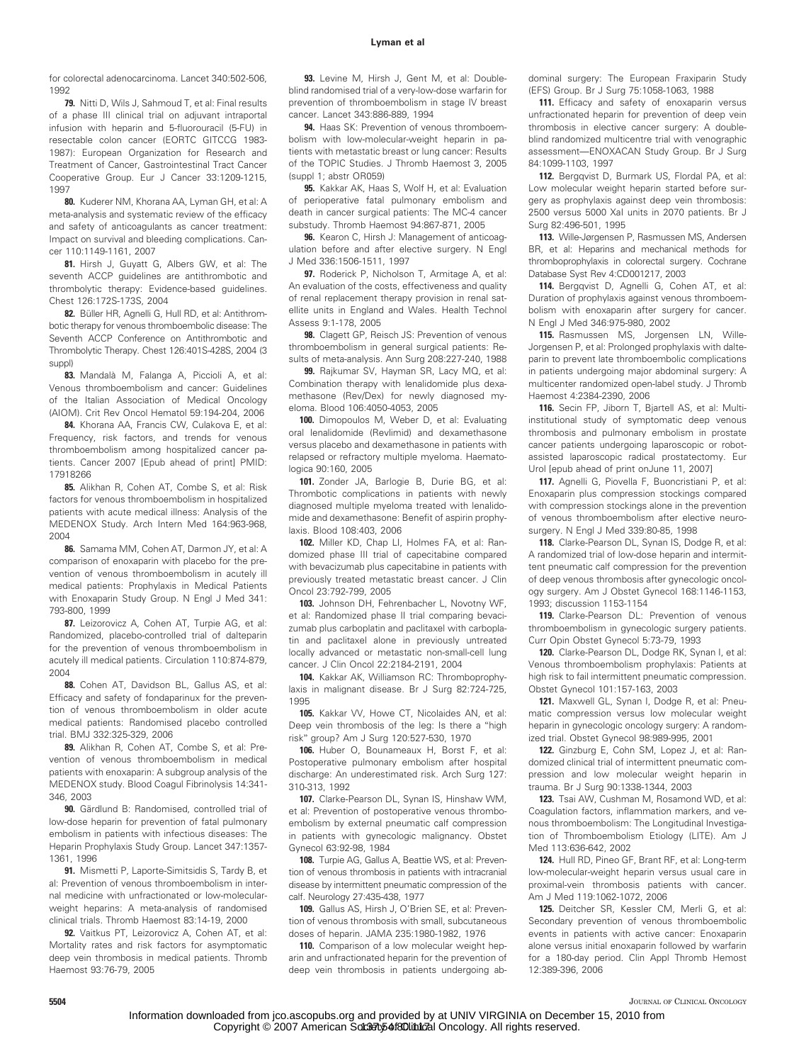#### **Lyman et al**

for colorectal adenocarcinoma. Lancet 340:502-506, 1992

**79.** Nitti D, Wils J, Sahmoud T, et al: Final results of a phase III clinical trial on adjuvant intraportal infusion with heparin and 5-fluorouracil (5-FU) in resectable colon cancer (EORTC GITCCG 1983- 1987): European Organization for Research and Treatment of Cancer, Gastrointestinal Tract Cancer Cooperative Group. Eur J Cancer 33:1209-1215, 1997

**80.** Kuderer NM, Khorana AA, Lyman GH, et al: A meta-analysis and systematic review of the efficacy and safety of anticoagulants as cancer treatment: Impact on survival and bleeding complications. Cancer 110:1149-1161, 2007

**81.** Hirsh J, Guyatt G, Albers GW, et al: The seventh ACCP guidelines are antithrombotic and thrombolytic therapy: Evidence-based guidelines. Chest 126:172S-173S, 2004

82. Büller HR, Agnelli G, Hull RD, et al: Antithrombotic therapy for venous thromboembolic disease: The Seventh ACCP Conference on Antithrombotic and Thrombolytic Therapy. Chest 126:401S-428S, 2004 (3 suppl)

**83.** Mandala` M, Falanga A, Piccioli A, et al: Venous thromboembolism and cancer: Guidelines of the Italian Association of Medical Oncology (AIOM). Crit Rev Oncol Hematol 59:194-204, 2006

**84.** Khorana AA, Francis CW, Culakova E, et al: Frequency, risk factors, and trends for venous thromboembolism among hospitalized cancer patients. Cancer 2007 [Epub ahead of print] PMID: 17918266

**85.** Alikhan R, Cohen AT, Combe S, et al: Risk factors for venous thromboembolism in hospitalized patients with acute medical illness: Analysis of the MEDENOX Study. Arch Intern Med 164:963-968, 2004

**86.** Samama MM, Cohen AT, Darmon JY, et al: A comparison of enoxaparin with placebo for the prevention of venous thromboembolism in acutely ill medical patients: Prophylaxis in Medical Patients with Enoxaparin Study Group. N Engl J Med 341: 793-800, 1999

**87.** Leizorovicz A, Cohen AT, Turpie AG, et al: Randomized, placebo-controlled trial of dalteparin for the prevention of venous thromboembolism in acutely ill medical patients. Circulation 110:874-879, 2004

**88.** Cohen AT, Davidson BL, Gallus AS, et al: Efficacy and safety of fondaparinux for the prevention of venous thromboembolism in older acute medical patients: Randomised placebo controlled trial. BMJ 332:325-329, 2006

**89.** Alikhan R, Cohen AT, Combe S, et al: Prevention of venous thromboembolism in medical patients with enoxaparin: A subgroup analysis of the MEDENOX study. Blood Coagul Fibrinolysis 14:341- 346, 2003

**90.** Gärdlund B: Randomised, controlled trial of low-dose heparin for prevention of fatal pulmonary embolism in patients with infectious diseases: The Heparin Prophylaxis Study Group. Lancet 347:1357- 1361, 1996

**91.** Mismetti P, Laporte-Simitsidis S, Tardy B, et al: Prevention of venous thromboembolism in internal medicine with unfractionated or low-molecularweight heparins: A meta-analysis of randomised clinical trials. Thromb Haemost 83:14-19, 2000

**92.** Vaitkus PT, Leizorovicz A, Cohen AT, et al: Mortality rates and risk factors for asymptomatic deep vein thrombosis in medical patients. Thromb Haemost 93:76-79, 2005

**93.** Levine M, Hirsh J, Gent M, et al: Doubleblind randomised trial of a very-low-dose warfarin for prevention of thromboembolism in stage IV breast cancer. Lancet 343:886-889, 1994

**94.** Haas SK: Prevention of venous thromboembolism with low-molecular-weight heparin in patients with metastatic breast or lung cancer: Results of the TOPIC Studies. J Thromb Haemost 3, 2005 (suppl 1; abstr OR059)

**95.** Kakkar AK, Haas S, Wolf H, et al: Evaluation of perioperative fatal pulmonary embolism and death in cancer surgical patients: The MC-4 cancer substudy. Thromb Haemost 94:867-871, 2005

**96.** Kearon C, Hirsh J: Management of anticoagulation before and after elective surgery. N Engl J Med 336:1506-1511, 1997

**97.** Roderick P, Nicholson T, Armitage A, et al: An evaluation of the costs, effectiveness and quality of renal replacement therapy provision in renal satellite units in England and Wales. Health Technol Assess 9:1-178, 2005

**98.** Clagett GP, Reisch JS: Prevention of venous thromboembolism in general surgical patients: Results of meta-analysis. Ann Surg 208:227-240, 1988

**99.** Rajkumar SV, Hayman SR, Lacy MQ, et al: Combination therapy with lenalidomide plus dexamethasone (Rev/Dex) for newly diagnosed myeloma. Blood 106:4050-4053, 2005

**100.** Dimopoulos M, Weber D, et al: Evaluating oral lenalidomide (Revlimid) and dexamethasone versus placebo and dexamethasone in patients with relapsed or refractory multiple myeloma. Haematologica 90:160, 2005

**101.** Zonder JA, Barlogie B, Durie BG, et al: Thrombotic complications in patients with newly diagnosed multiple myeloma treated with lenalidomide and dexamethasone: Benefit of aspirin prophylaxis. Blood 108:403, 2006

**102.** Miller KD, Chap LI, Holmes FA, et al: Randomized phase III trial of capecitabine compared with bevacizumab plus capecitabine in patients with previously treated metastatic breast cancer. J Clin Oncol 23:792-799, 2005

**103.** Johnson DH, Fehrenbacher L, Novotny WF, et al: Randomized phase II trial comparing bevacizumab plus carboplatin and paclitaxel with carboplatin and paclitaxel alone in previously untreated locally advanced or metastatic non-small-cell lung cancer. J Clin Oncol 22:2184-2191, 2004

**104.** Kakkar AK, Williamson RC: Thromboprophylaxis in malignant disease. Br J Surg 82:724-725, 1995

**105.** Kakkar VV, Howe CT, Nicolaides AN, et al: Deep vein thrombosis of the leg: Is there a "high risk" group? Am J Surg 120:527-530, 1970

**106.** Huber O, Bounameaux H, Borst F, et al: Postoperative pulmonary embolism after hospital discharge: An underestimated risk. Arch Surg 127: 310-313, 1992

**107.** Clarke-Pearson DL, Synan IS, Hinshaw WM, et al: Prevention of postoperative venous thromboembolism by external pneumatic calf compression in patients with gynecologic malignancy. Obstet Gynecol 63:92-98, 1984

**108.** Turpie AG, Gallus A, Beattie WS, et al: Prevention of venous thrombosis in patients with intracranial disease by intermittent pneumatic compression of the calf. Neurology 27:435-438, 1977

**109.** Gallus AS, Hirsh J, O'Brien SE, et al: Prevention of venous thrombosis with small, subcutaneous doses of heparin. JAMA 235:1980-1982, 1976

**110.** Comparison of a low molecular weight heparin and unfractionated heparin for the prevention of deep vein thrombosis in patients undergoing abdominal surgery: The European Fraxiparin Study (EFS) Group. Br J Surg 75:1058-1063, 1988

**111.** Efficacy and safety of enoxaparin versus unfractionated heparin for prevention of deep vein thrombosis in elective cancer surgery: A doubleblind randomized multicentre trial with venographic assessment—ENOXACAN Study Group. Br J Surg 84:1099-1103, 1997

**112.** Bergqvist D, Burmark US, Flordal PA, et al: Low molecular weight heparin started before surgery as prophylaxis against deep vein thrombosis: 2500 versus 5000 XaI units in 2070 patients. Br J Surg 82:496-501, 1995

**113.** Wille-Jørgensen P, Rasmussen MS, Andersen BR, et al: Heparins and mechanical methods for thromboprophylaxis in colorectal surgery. Cochrane Database Syst Rev 4:CD001217, 2003

**114.** Bergqvist D, Agnelli G, Cohen AT, et al: Duration of prophylaxis against venous thromboembolism with enoxaparin after surgery for cancer. N Engl J Med 346:975-980, 2002

**115.** Rasmussen MS, Jorgensen LN, Wille-Jorgensen P, et al: Prolonged prophylaxis with dalteparin to prevent late thromboembolic complications in patients undergoing major abdominal surgery: A multicenter randomized open-label study. J Thromb Haemost 4:2384-2390, 2006

**116.** Secin FP, Jiborn T, Bjartell AS, et al: Multiinstitutional study of symptomatic deep venous thrombosis and pulmonary embolism in prostate cancer patients undergoing laparoscopic or robotassisted laparoscopic radical prostatectomy. Eur Urol [epub ahead of print onJune 11, 2007]

**117.** Agnelli G, Piovella F, Buoncristiani P, et al: Enoxaparin plus compression stockings compared with compression stockings alone in the prevention of venous thromboembolism after elective neurosurgery. N Engl J Med 339:80-85, 1998

**118.** Clarke-Pearson DL, Synan IS, Dodge R, et al: A randomized trial of low-dose heparin and intermittent pneumatic calf compression for the prevention of deep venous thrombosis after gynecologic oncology surgery. Am J Obstet Gynecol 168:1146-1153, 1993; discussion 1153-1154

**119.** Clarke-Pearson DL: Prevention of venous thromboembolism in gynecologic surgery patients. Curr Opin Obstet Gynecol 5:73-79, 1993

**120.** Clarke-Pearson DL, Dodge RK, Synan I, et al: Venous thromboembolism prophylaxis: Patients at high risk to fail intermittent pneumatic compression. Obstet Gynecol 101:157-163, 2003

**121.** Maxwell GL, Synan I, Dodge R, et al: Pneumatic compression versus low molecular weight heparin in gynecologic oncology surgery: A randomized trial. Obstet Gynecol 98:989-995, 2001

**122.** Ginzburg E, Cohn SM, Lopez J, et al: Randomized clinical trial of intermittent pneumatic compression and low molecular weight heparin in trauma. Br J Surg 90:1338-1344, 2003

**123.** Tsai AW, Cushman M, Rosamond WD, et al: Coagulation factors, inflammation markers, and venous thromboembolism: The Longitudinal Investigation of Thromboembolism Etiology (LITE). Am J Med 113:636-642, 2002

**124.** Hull RD, Pineo GF, Brant RF, et al: Long-term low-molecular-weight heparin versus usual care in proximal-vein thrombosis patients with cancer. Am J Med 119:1062-1072, 2006

**125.** Deitcher SR, Kessler CM, Merli G, et al: Secondary prevention of venous thromboembolic events in patients with active cancer: Enoxaparin alone versus initial enoxaparin followed by warfarin for a 180-day period. Clin Appl Thromb Hemost 12:389-396, 2006